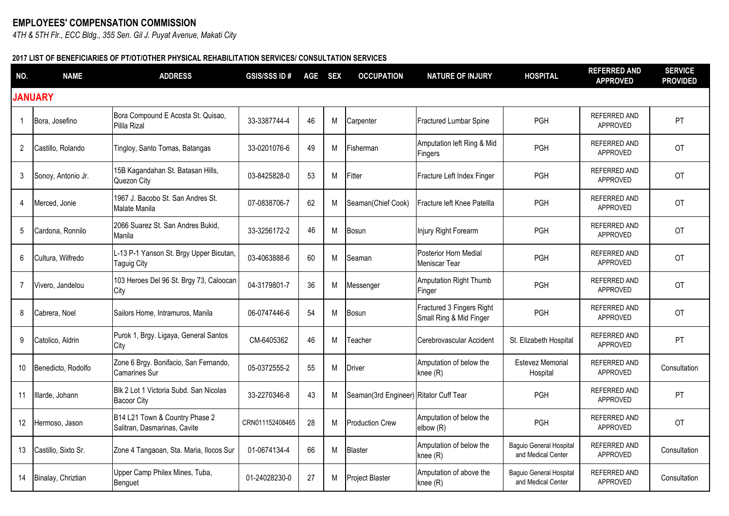## **EMPLOYEES' COMPENSATION COMMISSION**

*4TH & 5TH Flr., ECC Bldg., 355 Sen. Gil J. Puyat Avenue, Makati City*

## **2017 LIST OF BENEFICIARIES OF PT/OT/OTHER PHYSICAL REHABILITATION SERVICES/ CONSULTATION SERVICES**

| NO. | <b>NAME</b>         | <b>ADDRESS</b>                                                 | <b>GSIS/SSS ID#</b> | AGE SEX |   | <b>OCCUPATION</b>                      | <b>NATURE OF INJURY</b>                              | <b>HOSPITAL</b>                               | <b>REFERRED AND</b><br><b>APPROVED</b> | <b>SERVICE</b><br><b>PROVIDED</b> |
|-----|---------------------|----------------------------------------------------------------|---------------------|---------|---|----------------------------------------|------------------------------------------------------|-----------------------------------------------|----------------------------------------|-----------------------------------|
|     | <b>JANUARY</b>      |                                                                |                     |         |   |                                        |                                                      |                                               |                                        |                                   |
| 1   | Bora, Josefino      | Bora Compound E Acosta St. Quisao,<br>Pilila Rizal             | 33-3387744-4        | 46      | M | Carpenter                              | <b>Fractured Lumbar Spine</b>                        | PGH                                           | <b>REFERRED AND</b><br><b>APPROVED</b> | PT                                |
| 2   | Castillo, Rolando   | Tingloy, Santo Tomas, Batangas                                 | 33-0201076-6        | 49      | M | Fisherman                              | Amputation left Ring & Mid<br><b>Fingers</b>         | PGH                                           | <b>REFERRED AND</b><br>APPROVED        | <b>OT</b>                         |
| 3   | Sonoy, Antonio Jr.  | 15B Kagandahan St. Batasan Hills,<br>Quezon City               | 03-8425828-0        | 53      | M | Fitter                                 | Fracture Left Index Finger                           | <b>PGH</b>                                    | <b>REFERRED AND</b><br>APPROVED        | <b>OT</b>                         |
| 4   | Merced, Jonie       | 1967 J. Bacobo St. San Andres St.<br>Malate Manila             | 07-0838706-7        | 62      | M | Seaman(Chief Cook)                     | Fracture left Knee Patellla                          | PGH                                           | REFERRED AND<br>APPROVED               | <b>OT</b>                         |
| 5   | Cardona, Ronnilo    | 2066 Suarez St. San Andres Bukid,<br>Manila                    | 33-3256172-2        | 46      | M | <b>Bosun</b>                           | Injury Right Forearm                                 | PGH                                           | REFERRED AND<br>APPROVED               | <b>OT</b>                         |
| 6   | Cultura, Wilfredo   | L-13 P-1 Yanson St. Brgy Upper Bicutan,<br>Taguig City         | 03-4063888-6        | 60      | M | Seaman                                 | Posterior Horn Medial<br>Meniscar Tear               | PGH                                           | <b>REFERRED AND</b><br>APPROVED        | <b>OT</b>                         |
| 7   | Vivero, Jandelou    | 103 Heroes Del 96 St. Brgy 73, Caloocan<br>City                | 04-3179801-7        | 36      | М | Messenger                              | Amputation Right Thumb<br>Finger                     | <b>PGH</b>                                    | <b>REFERRED AND</b><br>APPROVED        | <b>OT</b>                         |
| 8   | Cabrera, Noel       | Sailors Home, Intramuros, Manila                               | 06-0747446-6        | 54      | M | Bosun                                  | Fractured 3 Fingers Right<br>Small Ring & Mid Finger | <b>PGH</b>                                    | <b>REFERRED AND</b><br>APPROVED        | <b>OT</b>                         |
| 9   | Catolico, Aldrin    | Purok 1, Brgy. Ligaya, General Santos<br>City                  | CM-6405362          | 46      | M | Teacher                                | Cerebrovascular Accident                             | St. Elizabeth Hospital                        | <b>REFERRED AND</b><br>APPROVED        | PT                                |
| 10  | Benedicto, Rodolfo  | Zone 6 Brgy. Bonifacio, San Fernando,<br><b>Camarines Sur</b>  | 05-0372555-2        | 55      | M | <b>Driver</b>                          | Amputation of below the<br>knee (R)                  | Estevez Memorial<br>Hospital                  | <b>REFERRED AND</b><br>APPROVED        | Consultation                      |
| 11  | Illarde, Johann     | Blk 2 Lot 1 Victoria Subd. San Nicolas<br><b>Bacoor City</b>   | 33-2270346-8        | 43      | M | Seaman(3rd Engineer) Ritator Cuff Tear |                                                      | <b>PGH</b>                                    | <b>REFERRED AND</b><br>APPROVED        | PT                                |
| 12  | Hermoso, Jason      | B14 L21 Town & Country Phase 2<br>Salitran, Dasmarinas, Cavite | CRN011152408465     | 28      | M | <b>Production Crew</b>                 | Amputation of below the<br>elbow (R)                 | PGH                                           | <b>REFERRED AND</b><br>APPROVED        | <b>OT</b>                         |
| 13  | Castillo, Sixto Sr. | Zone 4 Tangaoan, Sta. Maria, Ilocos Sur                        | 01-0674134-4        | 66      | M | <b>Blaster</b>                         | Amputation of below the<br>knee (R)                  | Baguio General Hospital<br>and Medical Center | REFERRED AND<br>APPROVED               | Consultation                      |
| 14  | Binalay, Chriztian  | Upper Camp Philex Mines, Tuba,<br>Benguet                      | 01-24028230-0       | 27      | М | Project Blaster                        | Amputation of above the<br>knee (R)                  | Baguio General Hospital<br>and Medical Center | REFERRED AND<br>APPROVED               | Consultation                      |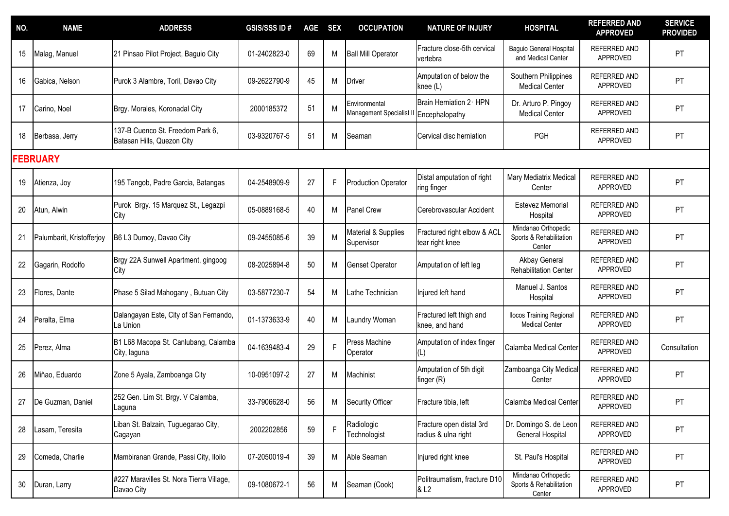| NO. | <b>NAME</b>               | <b>ADDRESS</b>                                                 | <b>GSIS/SSS ID#</b> | <b>AGE</b> | <b>SEX</b> | <b>OCCUPATION</b>                         | <b>NATURE OF INJURY</b>                          | <b>HOSPITAL</b>                                          | <b>REFERRED AND</b><br><b>APPROVED</b> | <b>SERVICE</b><br><b>PROVIDED</b> |
|-----|---------------------------|----------------------------------------------------------------|---------------------|------------|------------|-------------------------------------------|--------------------------------------------------|----------------------------------------------------------|----------------------------------------|-----------------------------------|
| 15  | Malag, Manuel             | 21 Pinsao Pilot Project, Baguio City                           | 01-2402823-0        | 69         | M          | <b>Ball Mill Operator</b>                 | Fracture close-5th cervical<br>vertebra          | Baguio General Hospital<br>and Medical Center            | REFERRED AND<br>APPROVED               | PT                                |
| 16  | Gabica, Nelson            | Purok 3 Alambre, Toril, Davao City                             | 09-2622790-9        | 45         | M          | Driver                                    | Amputation of below the<br>knee (L)              | Southern Philippines<br><b>Medical Center</b>            | <b>REFERRED AND</b><br>APPROVED        | PT                                |
| 17  | Carino, Noel              | Brgy. Morales, Koronadal City                                  | 2000185372          | 51         | M          | Environmental<br>Management Specialist II | Brain Herniation 2 HPN<br>Encephalopathy         | Dr. Arturo P. Pingoy<br><b>Medical Center</b>            | <b>REFERRED AND</b><br>APPROVED        | PT                                |
| 18  | Berbasa, Jerry            | 137-B Cuenco St. Freedom Park 6,<br>Batasan Hills, Quezon City | 03-9320767-5        | 51         | M          | Seaman                                    | Cervical disc herniation                         | <b>PGH</b>                                               | REFERRED AND<br>APPROVED               | PT                                |
|     | <b>FEBRUARY</b>           |                                                                |                     |            |            |                                           |                                                  |                                                          |                                        |                                   |
| 19  | Atienza, Joy              | 195 Tangob, Padre Garcia, Batangas                             | 04-2548909-9        | 27         | F          | <b>Production Operator</b>                | Distal amputation of right<br>ring finger        | Mary Mediatrix Medical<br>Center                         | <b>REFERRED AND</b><br>APPROVED        | PT                                |
| 20  | Atun, Alwin               | Purok Brgy. 15 Marquez St., Legazpi<br>City                    | 05-0889168-5        | 40         | M          | <b>Panel Crew</b>                         | Cerebrovascular Accident                         | Estevez Memorial<br>Hospital                             | <b>REFERRED AND</b><br>APPROVED        | PT                                |
|     | Palumbarit, Kristofferjoy | B6 L3 Dumoy, Davao City                                        | 09-2455085-6        | 39         | M          | Material & Supplies<br>Supervisor         | Fractured right elbow & ACL<br>tear right knee   | Mindanao Orthopedic<br>Sports & Rehabilitation<br>Center | REFERRED AND<br>APPROVED               | PT                                |
| 22  | Gagarin, Rodolfo          | Brgy 22A Sunwell Apartment, gingoog<br>City                    | 08-2025894-8        | 50         | M          | Genset Operator                           | Amputation of left leg                           | Akbay General<br><b>Rehabilitation Center</b>            | <b>REFERRED AND</b><br>APPROVED        | PT                                |
| 23  | Flores, Dante             | Phase 5 Silad Mahogany, Butuan City                            | 03-5877230-7        | 54         | M          | Lathe Technician                          | Injured left hand                                | Manuel J. Santos<br>Hospital                             | <b>REFERRED AND</b><br>APPROVED        | PT                                |
| 24  | Peralta, Elma             | Dalangayan Este, City of San Fernando,<br>La Union             | 01-1373633-9        | 40         | M          | Laundry Woman                             | Fractured left thigh and<br>knee, and hand       | <b>Ilocos Training Regional</b><br><b>Medical Center</b> | REFERRED AND<br>APPROVED               | PT                                |
| 25  | Perez, Alma               | B1 L68 Macopa St. Canlubang, Calamba<br>City, laguna           | 04-1639483-4        | 29         | F          | Press Machine<br>Operator                 | Amputation of index finger<br>(L)                | Calamba Medical Center                                   | REFERRED AND<br>APPROVED               | Consultation                      |
| 26  | Miñao, Eduardo            | Zone 5 Ayala, Zamboanga City                                   | 10-0951097-2        | 27         | M          | Machinist                                 | Amputation of 5th digit<br>finger (R)            | Zamboanga City Medical<br>Center                         | REFERRED AND<br>APPROVED               | PT                                |
| 27  | De Guzman, Daniel         | 252 Gen. Lim St. Brgy. V Calamba,<br>Laguna                    | 33-7906628-0        | 56         | M          | <b>Security Officer</b>                   | Fracture tibia, left                             | Calamba Medical Center                                   | REFERRED AND<br>APPROVED               | PT                                |
| 28  | Lasam, Teresita           | Liban St. Balzain, Tuguegarao City,<br>Cagayan                 | 2002202856          | 59         | F          | Radiologic<br>Technologist                | Fracture open distal 3rd<br>radius & ulna right  | Dr. Domingo S. de Leon<br>General Hospital               | REFERRED AND<br>APPROVED               | <b>PT</b>                         |
| 29  | Comeda, Charlie           | Mambiranan Grande, Passi City, Iloilo                          | 07-2050019-4        | 39         | M          | Able Seaman                               | Injured right knee                               | St. Paul's Hospital                                      | REFERRED AND<br>APPROVED               | <b>PT</b>                         |
| 30  | Duran, Larry              | #227 Maravilles St. Nora Tierra Village,<br>Davao City         | 09-1080672-1        | 56         | M          | Seaman (Cook)                             | Politraumatism, fracture D10<br>& L <sub>2</sub> | Mindanao Orthopedic<br>Sports & Rehabilitation<br>Center | REFERRED AND<br>APPROVED               | PT                                |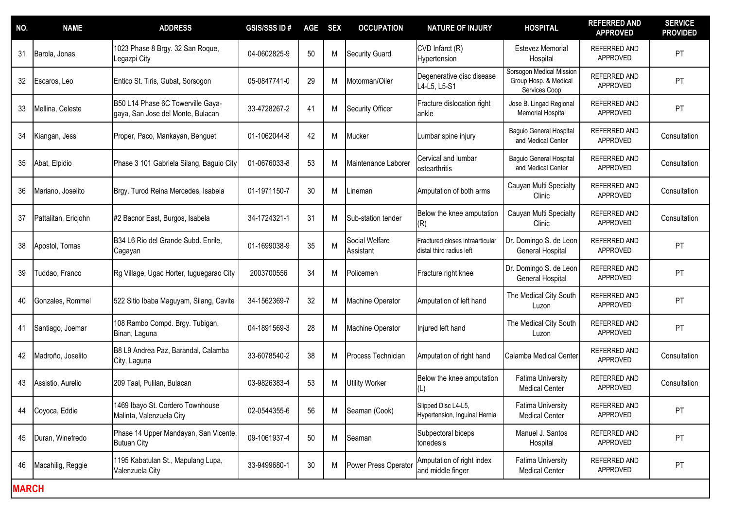| NO.          | <b>NAME</b>          | <b>ADDRESS</b>                                                         | <b>GSIS/SSS ID#</b> | AGE | <b>SEX</b> | <b>OCCUPATION</b>           | <b>NATURE OF INJURY</b>                                     | <b>HOSPITAL</b>                                                    | <b>REFERRED AND</b><br><b>APPROVED</b> | <b>SERVICE</b><br><b>PROVIDED</b> |
|--------------|----------------------|------------------------------------------------------------------------|---------------------|-----|------------|-----------------------------|-------------------------------------------------------------|--------------------------------------------------------------------|----------------------------------------|-----------------------------------|
| 31           | Barola, Jonas        | 1023 Phase 8 Brgy. 32 San Roque,<br>Legazpi City                       | 04-0602825-9        | 50  | M          | <b>Security Guard</b>       | CVD Infarct (R)<br>Hypertension                             | <b>Estevez Memorial</b><br>Hospital                                | <b>REFERRED AND</b><br>APPROVED        | PT                                |
| 32           | Escaros, Leo         | Entico St. Tiris, Gubat, Sorsogon                                      | 05-0847741-0        | 29  | M          | Motorman/Oiler              | Degenerative disc disease<br>L4-L5, L5-S1                   | Sorsogon Medical Mission<br>Group Hosp. & Medical<br>Services Coop | REFERRED AND<br>APPROVED               | PT                                |
| 33           | Mellina, Celeste     | B50 L14 Phase 6C Towerville Gaya-<br>gaya, San Jose del Monte, Bulacan | 33-4728267-2        | 41  | M          | <b>Security Officer</b>     | Fracture dislocation right<br>ankle                         | Jose B. Lingad Regional<br>Memorial Hospital                       | <b>REFERRED AND</b><br>APPROVED        | PT                                |
| 34           | Kiangan, Jess        | Proper, Paco, Mankayan, Benguet                                        | 01-1062044-8        | 42  | M          | Mucker                      | Lumbar spine injury                                         | Baguio General Hospital<br>and Medical Center                      | REFERRED AND<br>APPROVED               | Consultation                      |
| 35           | Abat, Elpidio        | Phase 3 101 Gabriela Silang, Baguio City                               | 01-0676033-8        | 53  | M          | Maintenance Laborer         | Cervical and lumbar<br>ostearthritis                        | Baguio General Hospital<br>and Medical Center                      | REFERRED AND<br>APPROVED               | Consultation                      |
| 36           | Mariano, Joselito    | Brgy. Turod Reina Mercedes, Isabela                                    | 01-1971150-7        | 30  | M          | .ineman                     | Amputation of both arms                                     | Cauyan Multi Specialty<br>Clinic                                   | <b>REFERRED AND</b><br>APPROVED        | Consultation                      |
| 37           | Pattalitan, Ericjohn | #2 Bacnor East, Burgos, Isabela                                        | 34-1724321-1        | 31  | M          | Sub-station tender          | Below the knee amputation<br>(R)                            | Cauyan Multi Specialty<br>Clinic                                   | REFERRED AND<br>APPROVED               | Consultation                      |
| 38           | Apostol, Tomas       | B34 L6 Rio del Grande Subd. Enrile,<br>Cagayan                         | 01-1699038-9        | 35  | M          | Social Welfare<br>Assistant | Fractured closes intraarticular<br>distal third radius left | Dr. Domingo S. de Leon<br><b>General Hospital</b>                  | <b>REFERRED AND</b><br><b>APPROVED</b> | PT                                |
| 39           | Tuddao, Franco       | Rg Village, Ugac Horter, tuguegarao City                               | 2003700556          | 34  | M          | Policemen                   | Fracture right knee                                         | Dr. Domingo S. de Leon<br>General Hospital                         | <b>REFERRED AND</b><br>APPROVED        | PT                                |
| 40           | Gonzales, Rommel     | 522 Sitio Ibaba Maguyam, Silang, Cavite                                | 34-1562369-7        | 32  | M          | Machine Operator            | Amputation of left hand                                     | The Medical City South<br>Luzon                                    | <b>REFERRED AND</b><br>APPROVED        | PT                                |
| 41           | Santiago, Joemar     | 108 Rambo Compd. Brgy. Tubigan,<br>Binan, Laguna                       | 04-1891569-3        | 28  | M          | Machine Operator            | Injured left hand                                           | The Medical City South<br>Luzon                                    | <b>REFERRED AND</b><br>APPROVED        | PT                                |
| 42           | Madroño, Joselito    | B8 L9 Andrea Paz, Barandal, Calamba<br>City, Laguna                    | 33-6078540-2        | 38  | M          | Process Technician          | Amputation of right hand                                    | Calamba Medical Center                                             | REFERRED AND<br>APPROVED               | Consultation                      |
| 43           | Assistio, Aurelio    | 209 Taal, Pulilan, Bulacan                                             | 03-9826383-4        | 53  | M          | Utility Worker              | Below the knee amputation                                   | <b>Fatima University</b><br><b>Medical Center</b>                  | REFERRED AND<br>APPROVED               | Consultation                      |
| 44           | Coyoca, Eddie        | 1469 Ibayo St. Cordero Townhouse<br>Malinta, Valenzuela City           | 02-0544355-6        | 56  | M          | Seaman (Cook)               | Slipped Disc L4-L5,<br>Hypertension, Inguinal Hernia        | <b>Fatima University</b><br><b>Medical Center</b>                  | REFERRED AND<br>APPROVED               | PT                                |
| 45           | Duran, Winefredo     | Phase 14 Upper Mandayan, San Vicente,<br><b>Butuan City</b>            | 09-1061937-4        | 50  | M          | Seaman                      | Subpectoral biceps<br>tonedesis                             | Manuel J. Santos<br>Hospital                                       | REFERRED AND<br>APPROVED               | PT                                |
| 46           | Macahilig, Reggie    | 1195 Kabatulan St., Mapulang Lupa,<br>Valenzuela City                  | 33-9499680-1        | 30  | M          | Power Press Operator        | Amputation of right index<br>and middle finger              | <b>Fatima University</b><br><b>Medical Center</b>                  | REFERRED AND<br>APPROVED               | PT                                |
| <b>MARCH</b> |                      |                                                                        |                     |     |            |                             |                                                             |                                                                    |                                        |                                   |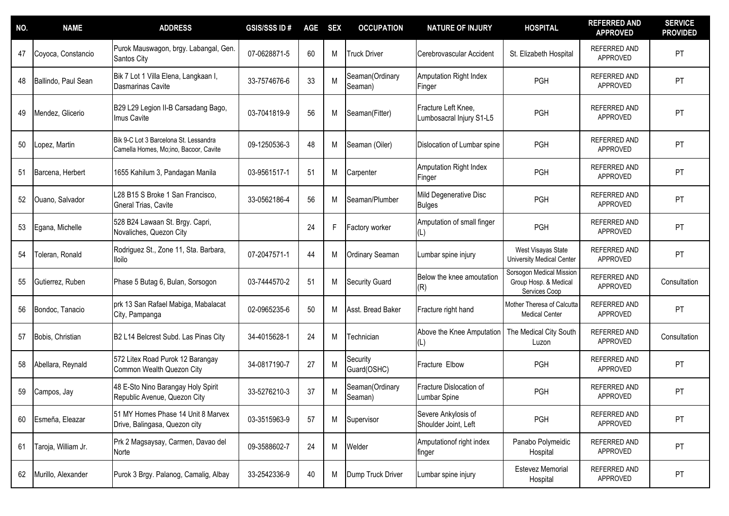| NO. | <b>NAME</b>         | <b>ADDRESS</b>                                                                 | <b>GSIS/SSS ID#</b> | <b>AGE</b> | <b>SEX</b> | <b>OCCUPATION</b>          | <b>NATURE OF INJURY</b>                         | <b>HOSPITAL</b>                                                    | <b>REFERRED AND</b><br><b>APPROVED</b> | <b>SERVICE</b><br><b>PROVIDED</b> |
|-----|---------------------|--------------------------------------------------------------------------------|---------------------|------------|------------|----------------------------|-------------------------------------------------|--------------------------------------------------------------------|----------------------------------------|-----------------------------------|
| 47  | Coyoca, Constancio  | Purok Mauswagon, brgy. Labangal, Gen.<br>Santos City                           | 07-0628871-5        | 60         | M          | <b>Truck Driver</b>        | Cerebrovascular Accident                        | St. Elizabeth Hospital                                             | <b>REFERRED AND</b><br>APPROVED        | PT                                |
| 48  | Ballindo, Paul Sean | Bik 7 Lot 1 Villa Elena, Langkaan I,<br>Dasmarinas Cavite                      | 33-7574676-6        | 33         | M          | Seaman(Ordinary<br>Seaman) | <b>Amputation Right Index</b><br>Finger         | PGH                                                                | <b>REFERRED AND</b><br>APPROVED        | PT                                |
| 49  | Mendez, Glicerio    | B29 L29 Legion II-B Carsadang Bago,<br>Imus Cavite                             | 03-7041819-9        | 56         | M          | Seaman(Fitter)             | Fracture Left Knee,<br>Lumbosacral Injury S1-L5 | PGH                                                                | REFERRED AND<br><b>APPROVED</b>        | PT                                |
| 50  | Lopez, Martin       | Bik 9-C Lot 3 Barcelona St. Lessandra<br>Camella Homes, Mo;ino, Bacoor, Cavite | 09-1250536-3        | 48         | M          | Seaman (Oiler)             | Dislocation of Lumbar spine                     | PGH                                                                | <b>REFERRED AND</b><br>APPROVED        | PT                                |
| 51  | Barcena, Herbert    | 1655 Kahilum 3, Pandagan Manila                                                | 03-9561517-1        | 51         | Μ          | Carpenter                  | <b>Amputation Right Index</b><br>Finger         | PGH                                                                | <b>REFERRED AND</b><br>APPROVED        | PT                                |
| 52  | Ouano, Salvador     | L28 B15 S Broke 1 San Francisco,<br>Gneral Trias, Cavite                       | 33-0562186-4        | 56         | M          | Seaman/Plumber             | Mild Degenerative Disc<br><b>Bulges</b>         | PGH                                                                | REFERRED AND<br>APPROVED               | PT                                |
| 53  | Egana, Michelle     | 528 B24 Lawaan St. Brgy. Capri,<br>Novaliches, Quezon City                     |                     | 24         | F          | Factory worker             | Amputation of small finger<br>(L)               | PGH                                                                | REFERRED AND<br>APPROVED               | PT                                |
| 54  | Toleran, Ronald     | Rodriguez St., Zone 11, Sta. Barbara,<br><b>Iloilo</b>                         | 07-2047571-1        | 44         | M          | <b>Ordinary Seaman</b>     | Lumbar spine injury                             | West Visayas State<br>University Medical Center                    | REFERRED AND<br>APPROVED               | PT                                |
| 55  | Gutierrez, Ruben    | Phase 5 Butag 6, Bulan, Sorsogon                                               | 03-7444570-2        | 51         | M          | <b>Security Guard</b>      | Below the knee amoutation<br>(R)                | Sorsogon Medical Mission<br>Group Hosp. & Medical<br>Services Coop | <b>REFERRED AND</b><br>APPROVED        | Consultation                      |
| 56  | Bondoc, Tanacio     | prk 13 San Rafael Mabiga, Mabalacat<br>City, Pampanga                          | 02-0965235-6        | 50         | M          | Asst. Bread Baker          | Fracture right hand                             | Mother Theresa of Calcutta<br><b>Medical Center</b>                | <b>REFERRED AND</b><br>APPROVED        | PT                                |
| 57  | Bobis, Christian    | B2 L14 Belcrest Subd. Las Pinas City                                           | 34-4015628-1        | 24         | M          | Technician                 | Above the Knee Amputation                       | The Medical City South<br>Luzon                                    | REFERRED AND<br>APPROVED               | Consultation                      |
| 58  | Abellara, Reynald   | 572 Litex Road Purok 12 Barangay<br>Common Wealth Quezon City                  | 34-0817190-7        | 27         | M          | Security<br>Guard(OSHC)    | Fracture Elbow                                  | PGH                                                                | <b>REFERRED AND</b><br>APPROVED        | PT                                |
| 59  | Campos, Jay         | 48 E-Sto Nino Barangay Holy Spirit<br>Republic Avenue, Quezon City             | 33-5276210-3        | 37         | M          | Seaman(Ordinary<br>Seaman) | Fracture Dislocation of<br>Lumbar Spine         | <b>PGH</b>                                                         | REFERRED AND<br>APPROVED               | PT                                |
| 60  | Esmeña, Eleazar     | 51 MY Homes Phase 14 Unit 8 Marvex<br>Drive, Balingasa, Quezon city            | 03-3515963-9        | 57         | М          | Supervisor                 | Severe Ankylosis of<br>Shoulder Joint, Left     | PGH                                                                | REFERRED AND<br>APPROVED               | PT                                |
| 61  | Taroja, William Jr. | Prk 2 Magsaysay, Carmen, Davao del<br>Norte                                    | 09-3588602-7        | 24         | М          | Welder                     | Amputationof right index<br>finger              | Panabo Polymeidic<br>Hospital                                      | REFERRED AND<br>APPROVED               | <b>PT</b>                         |
| 62  | Murillo, Alexander  | Purok 3 Brgy. Palanog, Camalig, Albay                                          | 33-2542336-9        | 40         | M          | Dump Truck Driver          | umbar spine injury                              | <b>Estevez Memorial</b><br>Hospital                                | REFERRED AND<br>APPROVED               | PT                                |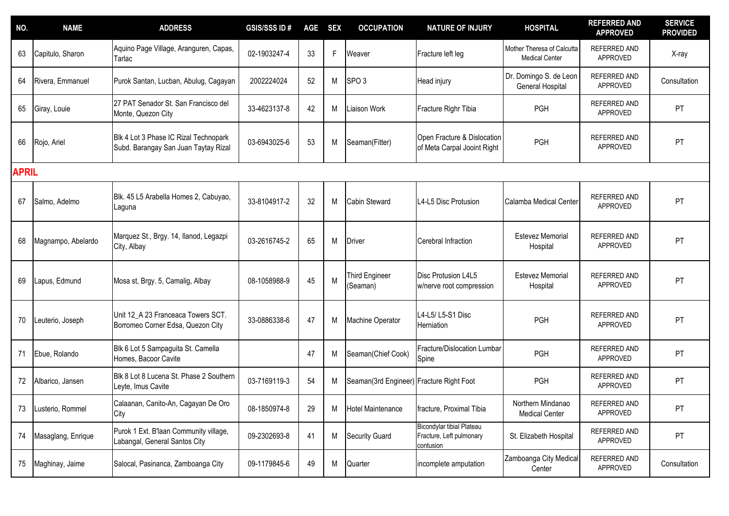| NO.          | <b>NAME</b>        | <b>ADDRESS</b>                                                                | <b>GSIS/SSS ID#</b> | <b>AGE</b> | <b>SEX</b>   | <b>OCCUPATION</b>                        | <b>NATURE OF INJURY</b>                                            | <b>HOSPITAL</b>                                     | <b>REFERRED AND</b><br><b>APPROVED</b> | <b>SERVICE</b><br><b>PROVIDED</b> |
|--------------|--------------------|-------------------------------------------------------------------------------|---------------------|------------|--------------|------------------------------------------|--------------------------------------------------------------------|-----------------------------------------------------|----------------------------------------|-----------------------------------|
| 63           | Capitulo, Sharon   | Aquino Page Village, Aranguren, Capas,<br>Tarlac                              | 02-1903247-4        | 33         | $\mathsf{F}$ | Weaver                                   | Fracture left leg                                                  | Mother Theresa of Calcutta<br><b>Medical Center</b> | REFERRED AND<br>APPROVED               | X-ray                             |
| 64           | Rivera, Emmanuel   | Purok Santan, Lucban, Abulug, Cagayan                                         | 2002224024          | 52         | M            | SPO <sub>3</sub>                         | Head injury                                                        | Dr. Domingo S. de Leon<br>General Hospital          | REFERRED AND<br>APPROVED               | Consultation                      |
| 65           | Giray, Louie       | 27 PAT Senador St. San Francisco del<br>Monte, Quezon City                    | 33-4623137-8        | 42         | M            | Liaison Work                             | Fracture Righr Tibia                                               | PGH                                                 | <b>REFERRED AND</b><br>APPROVED        | PT                                |
| 66           | Rojo, Ariel        | Blk 4 Lot 3 Phase IC Rizal Technopark<br>Subd. Barangay San Juan Taytay Rizal | 03-6943025-6        | 53         | M            | Seaman(Fitter)                           | Open Fracture & Dislocation<br>of Meta Carpal Jooint Right         | PGH                                                 | <b>REFERRED AND</b><br>APPROVED        | PT                                |
| <b>APRIL</b> |                    |                                                                               |                     |            |              |                                          |                                                                    |                                                     |                                        |                                   |
| 67           | Salmo, Adelmo      | Blk. 45 L5 Arabella Homes 2, Cabuyao,<br>Laguna                               | 33-8104917-2        | 32         | M            | <b>Cabin Steward</b>                     | L4-L5 Disc Protusion                                               | Calamba Medical Center                              | <b>REFERRED AND</b><br>APPROVED        | PT                                |
| 68           | Magnampo, Abelardo | Marquez St., Brgy. 14, Ilanod, Legazpi<br>City, Albay                         | 03-2616745-2        | 65         | M            | <b>Driver</b>                            | Cerebral Infraction                                                | <b>Estevez Memorial</b><br>Hospital                 | <b>REFERRED AND</b><br>APPROVED        | PT                                |
| 69           | Lapus, Edmund      | Mosa st, Brgy. 5, Camalig, Albay                                              | 08-1058988-9        | 45         | M            | <b>Third Engineer</b><br>(Seaman)        | Disc Protusion L4L5<br>w/nerve root compression                    | <b>Estevez Memorial</b><br>Hospital                 | <b>REFERRED AND</b><br>APPROVED        | PT                                |
| 70           | Leuterio, Joseph   | Unit 12 A 23 Franceaca Towers SCT.<br>Borromeo Corner Edsa, Quezon City       | 33-0886338-6        | 47         | M            | Machine Operator                         | L4-L5/ L5-S1 Disc<br>Herniation                                    | PGH                                                 | REFERRED AND<br>APPROVED               | PT                                |
| 71           | Ebue, Rolando      | Blk 6 Lot 5 Sampaguita St. Camella<br>Homes, Bacoor Cavite                    |                     | 47         | M            | Seaman(Chief Cook)                       | Fracture/Dislocation Lumbar<br>Spine                               | PGH                                                 | REFERRED AND<br>APPROVED               | PT                                |
| 72           | Albarico, Jansen   | Blk 8 Lot 8 Lucena St. Phase 2 Southern<br>Leyte, Imus Cavite                 | 03-7169119-3        | 54         | M            | Seaman(3rd Engineer) Fracture Right Foot |                                                                    | PGH                                                 | REFERRED AND<br>APPROVED               | PT                                |
| 73           | Lusterio, Rommel   | Calaanan, Canito-An, Cagayan De Oro<br>City                                   | 08-1850974-8        | 29         | M            | <b>Hotel Maintenance</b>                 | fracture, Proximal Tibia                                           | Northern Mindanao<br><b>Medical Center</b>          | REFERRED AND<br>APPROVED               | PT                                |
| 74           | Masaglang, Enrique | Purok 1 Ext. B'laan Community village,<br>Labangal, General Santos City       | 09-2302693-8        | 41         | M            | <b>Security Guard</b>                    | Bicondylar tibial Plateau<br>Fracture, Left pulmonary<br>contusion | St. Elizabeth Hospital                              | REFERRED AND<br>APPROVED               | <b>PT</b>                         |
| 75           | Maghinay, Jaime    | Salocal, Pasinanca, Zamboanga City                                            | 09-1179845-6        | 49         | M            | Quarter                                  | incomplete amputation                                              | Zamboanga City Medical<br>Center                    | REFERRED AND<br>APPROVED               | Consultation                      |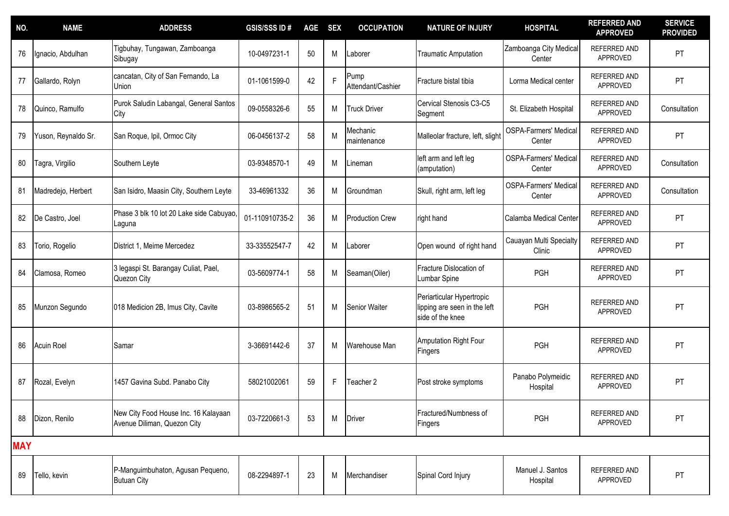| NO.        | <b>NAME</b>         | <b>ADDRESS</b>                                                      | <b>GSIS/SSS ID#</b> | <b>AGE</b> | <b>SEX</b> | <b>OCCUPATION</b>         | <b>NATURE OF INJURY</b>                                                       | <b>HOSPITAL</b>                        | <b>REFERRED AND</b><br><b>APPROVED</b> | <b>SERVICE</b><br><b>PROVIDED</b> |
|------------|---------------------|---------------------------------------------------------------------|---------------------|------------|------------|---------------------------|-------------------------------------------------------------------------------|----------------------------------------|----------------------------------------|-----------------------------------|
| 76         | Ignacio, Abdulhan   | Tigbuhay, Tungawan, Zamboanga<br>Sibugay                            | 10-0497231-1        | 50         | M          | Laborer                   | <b>Traumatic Amputation</b>                                                   | Zamboanga City Medical<br>Center       | REFERRED AND<br>APPROVED               | PT                                |
| 77         | Gallardo, Rolyn     | cancatan, City of San Fernando, La<br>Union                         | 01-1061599-0        | 42         | E          | Pump<br>Attendant/Cashier | Fracture bistal tibia                                                         | Lorma Medical center                   | REFERRED AND<br>APPROVED               | PT                                |
| 78         | Quinco, Ramulfo     | Purok Saludin Labangal, General Santos<br>City                      | 09-0558326-6        | 55         | M          | <b>Truck Driver</b>       | Cervical Stenosis C3-C5<br>Segment                                            | St. Elizabeth Hospital                 | REFERRED AND<br>APPROVED               | Consultation                      |
| 79         | Yuson, Reynaldo Sr. | San Roque, Ipil, Ormoc City                                         | 06-0456137-2        | 58         | M          | Mechanic<br>maintenance   | Malleolar fracture, left, slight                                              | <b>OSPA-Farmers' Medical</b><br>Center | REFERRED AND<br>APPROVED               | PT                                |
| 80         | Tagra, Virgilio     | Southern Leyte                                                      | 03-9348570-1        | 49         | M          | Lineman                   | left arm and left leg<br>(amputation)                                         | <b>OSPA-Farmers' Medical</b><br>Center | REFERRED AND<br>APPROVED               | Consultation                      |
| 81         | Madredejo, Herbert  | San Isidro, Maasin City, Southern Leyte                             | 33-46961332         | 36         | M          | Groundman                 | Skull, right arm, left leg                                                    | <b>OSPA-Farmers' Medical</b><br>Center | REFERRED AND<br>APPROVED               | Consultation                      |
| 82         | De Castro, Joel     | Phase 3 blk 10 lot 20 Lake side Cabuyao,<br>Laguna                  | 01-110910735-2      | 36         | M          | <b>Production Crew</b>    | right hand                                                                    | Calamba Medical Center                 | REFERRED AND<br>APPROVED               | PT                                |
| 83         | Torio, Rogelio      | District 1, Meime Mercedez                                          | 33-33552547-7       | 42         | M          | Laborer                   | Open wound of right hand                                                      | Cauayan Multi Specialty<br>Clinic      | REFERRED AND<br>APPROVED               | PT                                |
| 84         | Clamosa, Romeo      | 3 legaspi St. Barangay Culiat, Pael,<br>Quezon City                 | 03-5609774-1        | 58         | M          | Seaman(Oiler)             | Fracture Dislocation of<br>Lumbar Spine                                       | PGH                                    | <b>REFERRED AND</b><br>APPROVED        | PT                                |
| 85         | Munzon Segundo      | 018 Medicion 2B, Imus City, Cavite                                  | 03-8986565-2        | 51         | M          | <b>Senior Waiter</b>      | Periarticular Hypertropic<br>lipping are seen in the left<br>side of the knee | PGH                                    | REFERRED AND<br>APPROVED               | PT                                |
| 86         | <b>Acuin Roel</b>   | Samar                                                               | 3-36691442-6        | 37         | M          | Warehouse Man             | Amputation Right Four<br>Fingers                                              | PGH                                    | REFERRED AND<br>APPROVED               | PT                                |
| 87         | Rozal, Evelyn       | 1457 Gavina Subd. Panabo City                                       | 58021002061         | 59         | F          | Teacher 2                 | Post stroke symptoms                                                          | Panabo Polymeidic<br>Hospital          | REFERRED AND<br>APPROVED               | PT                                |
| 88         | Dizon, Renilo       | New City Food House Inc. 16 Kalayaan<br>Avenue Diliman, Quezon City | 03-7220661-3        | 53         | M          | <b>Driver</b>             | Fractured/Numbness of<br>Fingers                                              | PGH                                    | REFERRED AND<br>APPROVED               | PT                                |
| <b>MAY</b> |                     |                                                                     |                     |            |            |                           |                                                                               |                                        |                                        |                                   |
| 89         | Tello, kevin        | P-Manguimbuhaton, Agusan Pequeno,<br><b>Butuan City</b>             | 08-2294897-1        | 23         | M          | Merchandiser              | Spinal Cord Injury                                                            | Manuel J. Santos<br>Hospital           | REFERRED AND<br>APPROVED               | PT                                |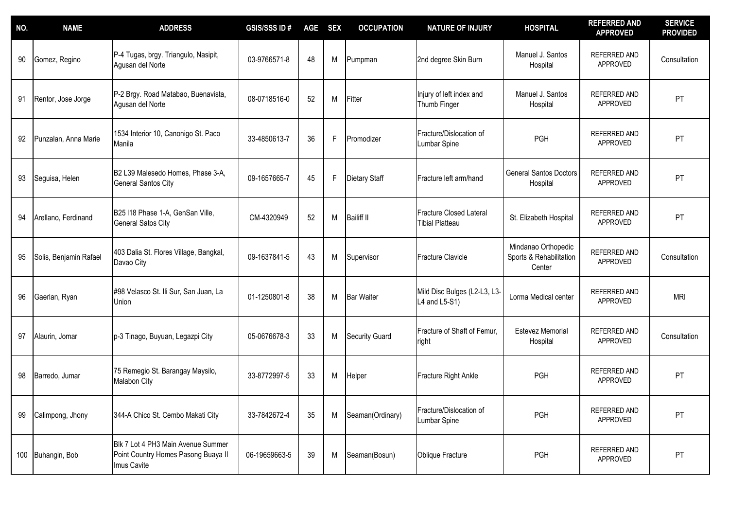| NO. | <b>NAME</b>            | <b>ADDRESS</b>                                                                           | <b>GSIS/SSSID#</b> | <b>AGE</b> | <b>SEX</b> | <b>OCCUPATION</b>     | <b>NATURE OF INJURY</b>                                  | <b>HOSPITAL</b>                                          | <b>REFERRED AND</b><br><b>APPROVED</b> | <b>SERVICE</b><br><b>PROVIDED</b> |
|-----|------------------------|------------------------------------------------------------------------------------------|--------------------|------------|------------|-----------------------|----------------------------------------------------------|----------------------------------------------------------|----------------------------------------|-----------------------------------|
| 90  | Gomez, Regino          | P-4 Tugas, brgy. Triangulo, Nasipit,<br>Agusan del Norte                                 | 03-9766571-8       | 48         | M          | Pumpman               | 2nd degree Skin Burn                                     | Manuel J. Santos<br>Hospital                             | REFERRED AND<br>APPROVED               | Consultation                      |
| 91  | Rentor, Jose Jorge     | P-2 Brgy. Road Matabao, Buenavista,<br>Agusan del Norte                                  | 08-0718516-0       | 52         | M          | Fitter                | Injury of left index and<br>Thumb Finger                 | Manuel J. Santos<br>Hospital                             | REFERRED AND<br>APPROVED               | PT                                |
| 92  | Punzalan, Anna Marie   | 1534 Interior 10, Canonigo St. Paco<br>Manila                                            | 33-4850613-7       | 36         | F          | Promodizer            | Fracture/Dislocation of<br>Lumbar Spine                  | PGH                                                      | REFERRED AND<br>APPROVED               | PT                                |
| 93  | Seguisa, Helen         | B2 L39 Malesedo Homes, Phase 3-A,<br><b>General Santos City</b>                          | 09-1657665-7       | 45         | F          | <b>Dietary Staff</b>  | Fracture left arm/hand                                   | <b>General Santos Doctors</b><br>Hospital                | REFERRED AND<br>APPROVED               | PT                                |
| 94  | Arellano, Ferdinand    | B25 I18 Phase 1-A, GenSan Ville,<br><b>General Satos City</b>                            | CM-4320949         | 52         | M          | <b>Bailiff II</b>     | <b>Fracture Closed Lateral</b><br><b>Tibial Platteau</b> | St. Elizabeth Hospital                                   | REFERRED AND<br>APPROVED               | PT                                |
| 95  | Solis, Benjamin Rafael | 403 Dalia St. Flores Village, Bangkal,<br>Davao City                                     | 09-1637841-5       | 43         | M          | Supervisor            | <b>Fracture Clavicle</b>                                 | Mindanao Orthopedic<br>Sports & Rehabilitation<br>Center | REFERRED AND<br>APPROVED               | Consultation                      |
| 96  | Gaerlan, Ryan          | #98 Velasco St. Ili Sur, San Juan, La<br>Jnion                                           | 01-1250801-8       | 38         | M          | <b>Bar Waiter</b>     | Mild Disc Bulges (L2-L3, L3-<br>L4 and L5-S1)            | Lorma Medical center                                     | REFERRED AND<br>APPROVED               | <b>MRI</b>                        |
| 97  | Alaurin, Jomar         | p-3 Tinago, Buyuan, Legazpi City                                                         | 05-0676678-3       | 33         | M          | <b>Security Guard</b> | Fracture of Shaft of Femur,<br>right                     | <b>Estevez Memorial</b><br>Hospital                      | REFERRED AND<br>APPROVED               | Consultation                      |
| 98  | Barredo, Jumar         | 75 Remegio St. Barangay Maysilo,<br>Malabon City                                         | 33-8772997-5       | 33         | M          | Helper                | Fracture Right Ankle                                     | PGH                                                      | REFERRED AND<br>APPROVED               | PT                                |
| 99  | Calimpong, Jhony       | 344-A Chico St. Cembo Makati City                                                        | 33-7842672-4       | 35         | M          | Seaman(Ordinary)      | Fracture/Dislocation of<br><b>Lumbar Spine</b>           | PGH                                                      | REFERRED AND<br>APPROVED               | PT                                |
|     | 100 Buhangin, Bob      | Blk 7 Lot 4 PH3 Main Avenue Summer<br>Point Country Homes Pasong Buaya II<br>Imus Cavite | 06-19659663-5      | 39         | M          | Seaman(Bosun)         | Oblique Fracture                                         | <b>PGH</b>                                               | REFERRED AND<br>APPROVED               | <b>PT</b>                         |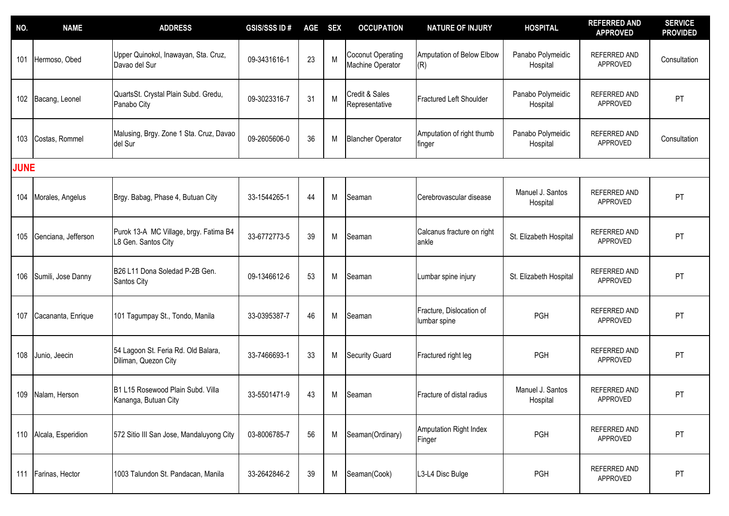| NO.         | <b>NAME</b>            | <b>ADDRESS</b>                                                | <b>GSIS/SSS ID#</b> | <b>AGE</b> | <b>SEX</b> | <b>OCCUPATION</b>                            | <b>NATURE OF INJURY</b>                  | <b>HOSPITAL</b>               | <b>REFERRED AND</b><br><b>APPROVED</b> | <b>SERVICE</b><br><b>PROVIDED</b> |
|-------------|------------------------|---------------------------------------------------------------|---------------------|------------|------------|----------------------------------------------|------------------------------------------|-------------------------------|----------------------------------------|-----------------------------------|
| 101         | Hermoso, Obed          | Upper Quinokol, Inawayan, Sta. Cruz,<br>Davao del Sur         | 09-3431616-1        | 23         | M          | <b>Coconut Operating</b><br>Machine Operator | Amputation of Below Elbow<br>(R)         | Panabo Polymeidic<br>Hospital | REFERRED AND<br>APPROVED               | Consultation                      |
|             | 102 Bacang, Leonel     | QuartsSt. Crystal Plain Subd. Gredu,<br>Panabo City           | 09-3023316-7        | 31         | M          | Credit & Sales<br>Representative             | Fractured Left Shoulder                  | Panabo Polymeidic<br>Hospital | REFERRED AND<br>APPROVED               | PT                                |
| 103         | Costas, Rommel         | Malusing, Brgy. Zone 1 Sta. Cruz, Davao<br>del Sur            | 09-2605606-0        | 36         | M          | <b>Blancher Operator</b>                     | Amputation of right thumb<br>finger      | Panabo Polymeidic<br>Hospital | <b>REFERRED AND</b><br>APPROVED        | Consultation                      |
| <b>JUNE</b> |                        |                                                               |                     |            |            |                                              |                                          |                               |                                        |                                   |
| 104         | Morales, Angelus       | Brgy. Babag, Phase 4, Butuan City                             | 33-1544265-1        | 44         | M          | Seaman                                       | Cerebrovascular disease                  | Manuel J. Santos<br>Hospital  | REFERRED AND<br>APPROVED               | PT                                |
| 105         | Genciana, Jefferson    | Purok 13-A MC Village, brgy. Fatima B4<br>L8 Gen. Santos City | 33-6772773-5        | 39         | M          | Seaman                                       | Calcanus fracture on right<br>ankle      | St. Elizabeth Hospital        | REFERRED AND<br>APPROVED               | PT                                |
| 106         | Sumili, Jose Danny     | B26 L11 Dona Soledad P-2B Gen.<br>Santos City                 | 09-1346612-6        | 53         | M          | Seaman                                       | Lumbar spine injury                      | St. Elizabeth Hospital        | REFERRED AND<br>APPROVED               | PT                                |
| 107         | Cacananta, Enrique     | 101 Tagumpay St., Tondo, Manila                               | 33-0395387-7        | 46         | M          | Seaman                                       | Fracture, Dislocation of<br>lumbar spine | PGH                           | <b>REFERRED AND</b><br><b>APPROVED</b> | PT                                |
| 108         | Junio, Jeecin          | 54 Lagoon St. Feria Rd. Old Balara,<br>Diliman, Quezon City   | 33-7466693-1        | 33         | M          | <b>Security Guard</b>                        | Fractured right leg                      | <b>PGH</b>                    | <b>REFERRED AND</b><br>APPROVED        | PT                                |
| 109         | Nalam, Herson          | B1 L15 Rosewood Plain Subd. Villa<br>Kananga, Butuan City     | 33-5501471-9        | 43         | M          | Seaman                                       | Fracture of distal radius                | Manuel J. Santos<br>Hospital  | REFERRED AND<br>APPROVED               | PT                                |
|             | 110 Alcala, Esperidion | 572 Sitio III San Jose, Mandaluyong City                      | 03-8006785-7        | 56         | M          | Seaman(Ordinary)                             | Amputation Right Index<br>Finger         | PGH                           | REFERRED AND<br>APPROVED               | PT                                |
|             | 111 Farinas, Hector    | 1003 Talundon St. Pandacan, Manila                            | 33-2642846-2        | 39         | M          | Seaman(Cook)                                 | L3-L4 Disc Bulge                         | PGH                           | REFERRED AND<br>APPROVED               | PT                                |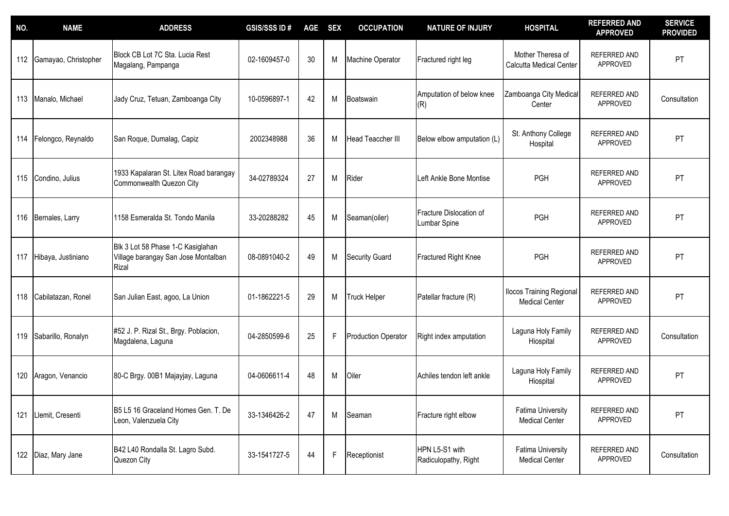| NO. | <b>NAME</b>          | <b>ADDRESS</b>                                                                           | <b>GSIS/SSS ID#</b> | <b>AGE</b> | <b>SEX</b> | <b>OCCUPATION</b>          | <b>NATURE OF INJURY</b>                 | <b>HOSPITAL</b>                                          | <b>REFERRED AND</b><br><b>APPROVED</b> | <b>SERVICE</b><br><b>PROVIDED</b> |
|-----|----------------------|------------------------------------------------------------------------------------------|---------------------|------------|------------|----------------------------|-----------------------------------------|----------------------------------------------------------|----------------------------------------|-----------------------------------|
| 112 | Gamayao, Christopher | Block CB Lot 7C Sta. Lucia Rest<br>Magalang, Pampanga                                    | 02-1609457-0        | 30         | M          | Machine Operator           | Fractured right leg                     | Mother Theresa of<br>Calcutta Medical Center             | REFERRED AND<br>APPROVED               | PT                                |
| 113 | Manalo, Michael      | Jady Cruz, Tetuan, Zamboanga City                                                        | 10-0596897-1        | 42         | M          | Boatswain                  | Amputation of below knee<br>(R)         | Zamboanga City Medical<br>Center                         | REFERRED AND<br>APPROVED               | Consultation                      |
| 114 | Felongco, Reynaldo   | San Roque, Dumalag, Capiz                                                                | 2002348988          | 36         | M          | <b>Head Teaccher III</b>   | Below elbow amputation (L)              | St. Anthony College<br>Hospital                          | REFERRED AND<br><b>APPROVED</b>        | PT                                |
|     | 115 Condino, Julius  | 1933 Kapalaran St. Litex Road barangay<br>Commonwealth Quezon City                       | 34-02789324         | 27         | M          | Rider                      | Left Ankle Bone Montise                 | <b>PGH</b>                                               | REFERRED AND<br>APPROVED               | PT                                |
| 116 | Bernales, Larry      | 1158 Esmeralda St. Tondo Manila                                                          | 33-20288282         | 45         | M          | Seaman(oiler)              | Fracture Dislocation of<br>Lumbar Spine | PGH                                                      | <b>REFERRED AND</b><br>APPROVED        | PT                                |
| 117 | Hibaya, Justiniano   | Blk 3 Lot 58 Phase 1-C Kasiglahan<br>Village barangay San Jose Montalban<br><b>Rizal</b> | 08-0891040-2        | 49         | M          | <b>Security Guard</b>      | <b>Fractured Right Knee</b>             | PGH                                                      | REFERRED AND<br>APPROVED               | PT                                |
| 118 | Cabilatazan, Ronel   | San Julian East, agoo, La Union                                                          | 01-1862221-5        | 29         | М          | <b>Truck Helper</b>        | Patellar fracture (R)                   | <b>Ilocos Training Regional</b><br><b>Medical Center</b> | REFERRED AND<br>APPROVED               | PT                                |
| 119 | Sabarillo, Ronalyn   | #52 J. P. Rizal St., Brgy. Poblacion,<br>Magdalena, Laguna                               | 04-2850599-6        | 25         | F          | <b>Production Operator</b> | Right index amputation                  | Laguna Holy Family<br>Hiospital                          | REFERRED AND<br>APPROVED               | Consultation                      |
| 120 | Aragon, Venancio     | 80-C Brgy. 00B1 Majayjay, Laguna                                                         | 04-0606611-4        | 48         | M          | Oiler                      | Achiles tendon left ankle               | Laguna Holy Family<br>Hiospital                          | REFERRED AND<br>APPROVED               | PT                                |
| 121 | Llemit, Cresenti     | B5 L5 16 Graceland Homes Gen. T. De<br>Leon, Valenzuela City                             | 33-1346426-2        | 47         | M          | Seaman                     | Fracture right elbow                    | <b>Fatima University</b><br><b>Medical Center</b>        | REFERRED AND<br>APPROVED               | PT                                |
|     | 122 Diaz, Mary Jane  | B42 L40 Rondalla St. Lagro Subd.<br>Quezon City                                          | 33-1541727-5        | 44         | F          | Receptionist               | HPN L5-S1 with<br>Radiculopathy, Right  | <b>Fatima University</b><br><b>Medical Center</b>        | REFERRED AND<br>APPROVED               | Consultation                      |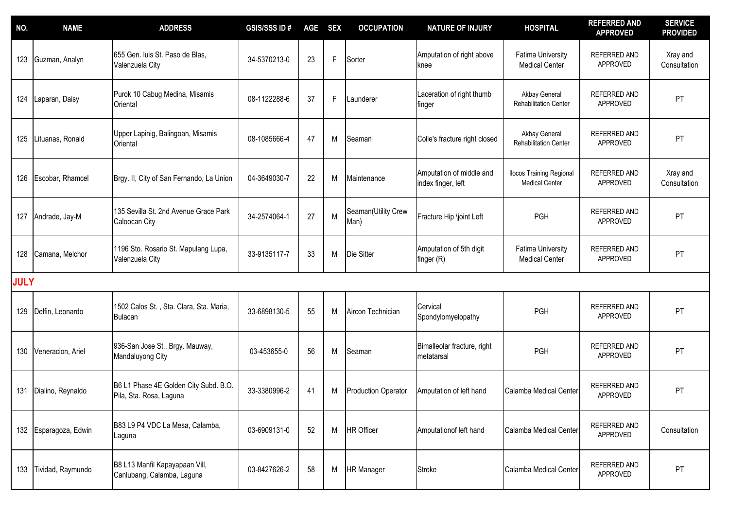| NO.         | <b>NAME</b>           | <b>ADDRESS</b>                                                   | <b>GSIS/SSS ID#</b> | <b>AGE</b> | <b>SEX</b>  | <b>OCCUPATION</b>           | <b>NATURE OF INJURY</b>                        | <b>HOSPITAL</b>                                          | <b>REFERRED AND</b><br><b>APPROVED</b> | <b>SERVICE</b><br><b>PROVIDED</b> |
|-------------|-----------------------|------------------------------------------------------------------|---------------------|------------|-------------|-----------------------------|------------------------------------------------|----------------------------------------------------------|----------------------------------------|-----------------------------------|
| 123         | Guzman, Analyn        | 655 Gen. luis St. Paso de Blas,<br>Valenzuela City               | 34-5370213-0        | 23         | F           | Sorter                      | Amputation of right above<br>knee              | <b>Fatima University</b><br><b>Medical Center</b>        | <b>REFERRED AND</b><br>APPROVED        | Xray and<br>Consultation          |
| 124         | Laparan, Daisy        | Purok 10 Cabug Medina, Misamis<br>Oriental                       | 08-1122288-6        | 37         | $\mathsf F$ | Launderer                   | Laceration of right thumb<br>finger            | Akbay General<br>Rehabilitation Center                   | <b>REFERRED AND</b><br>APPROVED        | PT                                |
| 125         | Lituanas, Ronald      | Upper Lapinig, Balingoan, Misamis<br>Oriental                    | 08-1085666-4        | 47         | M           | Seaman                      | Colle's fracture right closed                  | Akbay General<br>Rehabilitation Center                   | <b>REFERRED AND</b><br>APPROVED        | PT                                |
| 126         | Escobar, Rhamcel      | Brgy. II, City of San Fernando, La Union                         | 04-3649030-7        | 22         | M           | Maintenance                 | Amputation of middle and<br>index finger, left | <b>Ilocos Training Regional</b><br><b>Medical Center</b> | REFERRED AND<br>APPROVED               | Xray and<br>Consultation          |
| 127         | Andrade, Jay-M        | 135 Sevilla St. 2nd Avenue Grace Park<br>Caloocan City           | 34-2574064-1        | 27         | M           | Seaman(Utility Crew<br>Man) | Fracture Hip \joint Left                       | <b>PGH</b>                                               | <b>REFERRED AND</b><br>APPROVED        | PT                                |
| 128         | Camana, Melchor       | 1196 Sto. Rosario St. Mapulang Lupa,<br>Valenzuela City          | 33-9135117-7        | 33         | M           | Die Sitter                  | Amputation of 5th digit<br>finger (R)          | <b>Fatima University</b><br><b>Medical Center</b>        | REFERRED AND<br>APPROVED               | PT                                |
| <b>JULY</b> |                       |                                                                  |                     |            |             |                             |                                                |                                                          |                                        |                                   |
| 129         | Delfin, Leonardo      | 1502 Calos St., Sta. Clara, Sta. Maria,<br><b>Bulacan</b>        | 33-6898130-5        | 55         | M           | Aircon Technician           | Cervical<br>Spondylomyelopathy                 | PGH                                                      | REFERRED AND<br>APPROVED               | PT                                |
| 130         | Veneracion, Ariel     | 936-San Jose St., Brgy. Mauway,<br>Mandaluyong City              | 03-453655-0         | 56         | M           | Seaman                      | Bimalleolar fracture, right<br>metatarsal      | <b>PGH</b>                                               | <b>REFERRED AND</b><br>APPROVED        | PT                                |
| 131         | Dialino, Reynaldo     | B6 L1 Phase 4E Golden City Subd. B.O.<br>Pila, Sta. Rosa, Laguna | 33-3380996-2        | 41         | M           | <b>Production Operator</b>  | Amputation of left hand                        | Calamba Medical Center                                   | <b>REFERRED AND</b><br><b>APPROVED</b> | PT                                |
|             | 132 Esparagoza, Edwin | B83 L9 P4 VDC La Mesa, Calamba,<br>Laguna                        | 03-6909131-0        | 52         | M           | <b>HR Officer</b>           | Amputationof left hand                         | Calamba Medical Center                                   | REFERRED AND<br>APPROVED               | Consultation                      |
| 133         | Tividad, Raymundo     | B8 L13 Manfil Kapayapaan Vill,<br>Canlubang, Calamba, Laguna     | 03-8427626-2        | 58         | M           | <b>HR</b> Manager           | <b>Stroke</b>                                  | Calamba Medical Center                                   | REFERRED AND<br>APPROVED               | PT                                |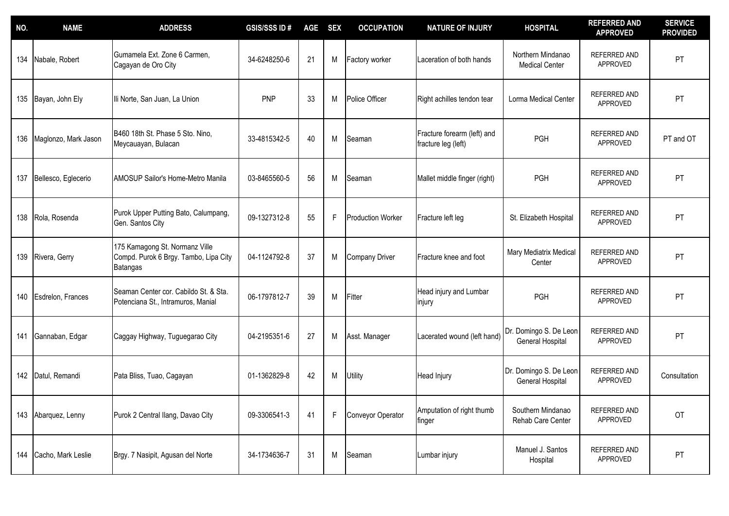| NO. | <b>NAME</b>            | <b>ADDRESS</b>                                                                             | <b>GSIS/SSS ID#</b> | <b>AGE</b> | <b>SEX</b>  | <b>OCCUPATION</b>        | <b>NATURE OF INJURY</b>                            | <b>HOSPITAL</b>                            | <b>REFERRED AND</b><br><b>APPROVED</b> | <b>SERVICE</b><br><b>PROVIDED</b> |
|-----|------------------------|--------------------------------------------------------------------------------------------|---------------------|------------|-------------|--------------------------|----------------------------------------------------|--------------------------------------------|----------------------------------------|-----------------------------------|
| 134 | Nabale, Robert         | Gumamela Ext. Zone 6 Carmen,<br>Cagayan de Oro City                                        | 34-6248250-6        | 21         | M           | Factory worker           | Laceration of both hands                           | Northern Mindanao<br><b>Medical Center</b> | REFERRED AND<br>APPROVED               | PT                                |
|     | 135 Bayan, John Ely    | Ili Norte, San Juan, La Union                                                              | PNP                 | 33         | M           | Police Officer           | Right achilles tendon tear                         | Lorma Medical Center                       | REFERRED AND<br>APPROVED               | PT                                |
| 136 | Maglonzo, Mark Jason   | B460 18th St. Phase 5 Sto. Nino,<br>Meycauayan, Bulacan                                    | 33-4815342-5        | 40         | M           | Seaman                   | Fracture forearm (left) and<br>fracture leg (left) | PGH                                        | <b>REFERRED AND</b><br>APPROVED        | PT and OT                         |
| 137 | Bellesco, Eglecerio    | <b>AMOSUP Sailor's Home-Metro Manila</b>                                                   | 03-8465560-5        | 56         | M           | Seaman                   | Mallet middle finger (right)                       | <b>PGH</b>                                 | <b>REFERRED AND</b><br>APPROVED        | PT                                |
| 138 | Rola, Rosenda          | Purok Upper Putting Bato, Calumpang,<br>Gen. Santos City                                   | 09-1327312-8        | 55         | $\mathsf F$ | <b>Production Worker</b> | Fracture left leg                                  | St. Elizabeth Hospital                     | <b>REFERRED AND</b><br>APPROVED        | PT                                |
| 139 | Rivera, Gerry          | 175 Kamagong St. Normanz Ville<br>Compd. Purok 6 Brgy. Tambo, Lipa City<br><b>Batangas</b> | 04-1124792-8        | 37         | M           | <b>Company Driver</b>    | Fracture knee and foot                             | Mary Mediatrix Medical<br>Center           | <b>REFERRED AND</b><br>APPROVED        | PT                                |
| 140 | Esdrelon, Frances      | Seaman Center cor. Cabildo St. & Sta.<br>Potenciana St., Intramuros, Manial                | 06-1797812-7        | 39         | M           | Fitter                   | Head injury and Lumbar<br>injury                   | PGH                                        | REFERRED AND<br>APPROVED               | PT                                |
| 141 | Gannaban, Edgar        | Caggay Highway, Tuguegarao City                                                            | 04-2195351-6        | 27         | M           | Asst. Manager            | Lacerated wound (left hand)                        | Dr. Domingo S. De Leon<br>General Hospital | REFERRED AND<br><b>APPROVED</b>        | PT                                |
|     | 142 Datul, Remandi     | Pata Bliss, Tuao, Cagayan                                                                  | 01-1362829-8        | 42         | M           | Utility                  | Head Injury                                        | Dr. Domingo S. De Leon<br>General Hospital | REFERRED AND<br>APPROVED               | Consultation                      |
| 143 | Abarquez, Lenny        | Purok 2 Central Ilang, Davao City                                                          | 09-3306541-3        | 41         | $\mathsf F$ | Conveyor Operator        | Amputation of right thumb<br>finger                | Southern Mindanao<br>Rehab Care Center     | REFERRED AND<br>APPROVED               | OT                                |
|     | 144 Cacho, Mark Leslie | Brgy. 7 Nasipit, Agusan del Norte                                                          | 34-1734636-7        | 31         | M           | Seaman                   | Lumbar injury                                      | Manuel J. Santos<br>Hospital               | REFERRED AND<br>APPROVED               | <b>PT</b>                         |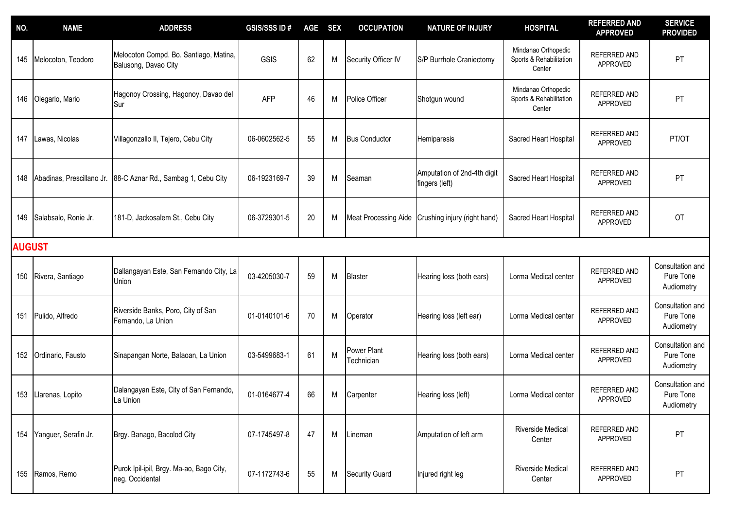| NO.           | <b>NAME</b>               | <b>ADDRESS</b>                                                 | <b>GSIS/SSS ID#</b> | <b>AGE</b> | <b>SEX</b> | <b>OCCUPATION</b>         | <b>NATURE OF INJURY</b>                       | <b>HOSPITAL</b>                                          | <b>REFERRED AND</b><br><b>APPROVED</b> | <b>SERVICE</b><br><b>PROVIDED</b>           |
|---------------|---------------------------|----------------------------------------------------------------|---------------------|------------|------------|---------------------------|-----------------------------------------------|----------------------------------------------------------|----------------------------------------|---------------------------------------------|
| 145           | Melocoton, Teodoro        | Melocoton Compd. Bo. Santiago, Matina,<br>Balusong, Davao City | GSIS                | 62         | M          | Security Officer IV       | S/P Burrhole Craniectomy                      | Mindanao Orthopedic<br>Sports & Rehabilitation<br>Center | <b>REFERRED AND</b><br>APPROVED        | PT                                          |
| 146           | Olegario, Mario           | Hagonoy Crossing, Hagonoy, Davao del<br>Sur                    | <b>AFP</b>          | 46         | M          | Police Officer            | Shotgun wound                                 | Mindanao Orthopedic<br>Sports & Rehabilitation<br>Center | REFERRED AND<br>APPROVED               | PT                                          |
| 147           | Lawas, Nicolas            | Villagonzallo II, Tejero, Cebu City                            | 06-0602562-5        | 55         | M          | <b>Bus Conductor</b>      | Hemiparesis                                   | Sacred Heart Hospital                                    | <b>REFERRED AND</b><br>APPROVED        | PT/OT                                       |
| 148           | Abadinas, Prescillano Jr. | 88-C Aznar Rd., Sambag 1, Cebu City                            | 06-1923169-7        | 39         | M          | Seaman                    | Amputation of 2nd-4th digit<br>fingers (left) | Sacred Heart Hospital                                    | REFERRED AND<br>APPROVED               | PT                                          |
| 149           | Salabsalo, Ronie Jr.      | 181-D, Jackosalem St., Cebu City                               | 06-3729301-5        | 20         | M          | Meat Processing Aide      | Crushing injury (right hand)                  | Sacred Heart Hospital                                    | <b>REFERRED AND</b><br>APPROVED        | OT                                          |
| <b>AUGUST</b> |                           |                                                                |                     |            |            |                           |                                               |                                                          |                                        |                                             |
| 150           | Rivera, Santiago          | Dallangayan Este, San Fernando City, La<br>Jnion               | 03-4205030-7        | 59         | M          | <b>Blaster</b>            | Hearing loss (both ears)                      | Lorma Medical center                                     | REFERRED AND<br>APPROVED               | Consultation and<br>Pure Tone<br>Audiometry |
| 151           | Pulido, Alfredo           | Riverside Banks, Poro, City of San<br>Fernando, La Union       | 01-0140101-6        | 70         | M          | Operator                  | Hearing loss (left ear)                       | Lorma Medical center                                     | REFERRED AND<br>APPROVED               | Consultation and<br>Pure Tone<br>Audiometry |
| 152           | Ordinario, Fausto         | Sinapangan Norte, Balaoan, La Union                            | 03-5499683-1        | 61         | M          | Power Plant<br>Technician | Hearing loss (both ears)                      | Lorma Medical center                                     | REFERRED AND<br>APPROVED               | Consultation and<br>Pure Tone<br>Audiometry |
| 153           | Llarenas, Lopito          | Dalangayan Este, City of San Fernando,<br>La Union             | 01-0164677-4        | 66         | M          | Carpenter                 | Hearing loss (left)                           | Lorma Medical center                                     | <b>REFERRED AND</b><br>APPROVED        | Consultation and<br>Pure Tone<br>Audiometry |
| 154           | Yanguer, Serafin Jr.      | Brgy. Banago, Bacolod City                                     | 07-1745497-8        | 47         | M          | Lineman                   | Amputation of left arm                        | Riverside Medical<br>Center                              | REFERRED AND<br>APPROVED               | PT                                          |
|               | 155 Ramos, Remo           | Purok Ipil-ipil, Brgy. Ma-ao, Bago City,<br>neg. Occidental    | 07-1172743-6        | 55         | M          | <b>Security Guard</b>     | Injured right leg                             | Riverside Medical<br>Center                              | REFERRED AND<br>APPROVED               | PT                                          |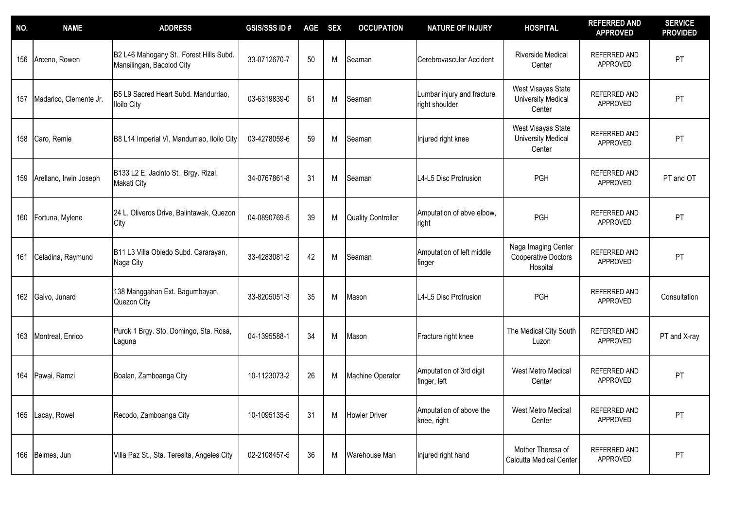| NO. | <b>NAME</b>            | <b>ADDRESS</b>                                                       | <b>GSIS/SSS ID#</b> | <b>AGE</b> | <b>SEX</b> | <b>OCCUPATION</b>         | <b>NATURE OF INJURY</b>                     | <b>HOSPITAL</b>                                           | <b>REFERRED AND</b><br><b>APPROVED</b> | <b>SERVICE</b><br><b>PROVIDED</b> |
|-----|------------------------|----------------------------------------------------------------------|---------------------|------------|------------|---------------------------|---------------------------------------------|-----------------------------------------------------------|----------------------------------------|-----------------------------------|
| 156 | Arceno, Rowen          | B2 L46 Mahogany St., Forest Hills Subd.<br>Mansilingan, Bacolod City | 33-0712670-7        | 50         | M          | Seaman                    | Cerebrovascular Accident                    | Riverside Medical<br>Center                               | REFERRED AND<br>APPROVED               | PT                                |
| 157 | Madarico, Clemente Jr. | B5 L9 Sacred Heart Subd. Mandurriao,<br><b>Iloilo City</b>           | 03-6319839-0        | 61         | M          | Seaman                    | umbar injury and fracture<br>right shoulder | West Visayas State<br><b>University Medical</b><br>Center | REFERRED AND<br>APPROVED               | PT                                |
| 158 | Caro, Remie            | B8 L14 Imperial VI, Mandurriao, Iloilo City                          | 03-4278059-6        | 59         | M          | Seaman                    | Injured right knee                          | West Visayas State<br><b>University Medical</b><br>Center | REFERRED AND<br>APPROVED               | PT                                |
| 159 | Arellano, Irwin Joseph | B133 L2 E. Jacinto St., Brgy. Rizal,<br>Makati City                  | 34-0767861-8        | 31         | M          | Seaman                    | L4-L5 Disc Protrusion                       | PGH                                                       | <b>REFERRED AND</b><br>APPROVED        | PT and OT                         |
| 160 | Fortuna, Mylene        | 24 L. Oliveros Drive, Balintawak, Quezon<br>City                     | 04-0890769-5        | 39         | M          | <b>Quality Controller</b> | Amputation of abve elbow,<br>right          | PGH                                                       | <b>REFERRED AND</b><br>APPROVED        | PT                                |
| 161 | Celadina, Raymund      | B11 L3 Villa Obiedo Subd. Cararayan,<br>Naga City                    | 33-4283081-2        | 42         | M          | Seaman                    | Amputation of left middle<br>finger         | Naga Imaging Center<br>Cooperative Doctors<br>Hospital    | REFERRED AND<br>APPROVED               | PT                                |
|     | 162 Galvo, Junard      | 138 Manggahan Ext. Bagumbayan,<br>Quezon City                        | 33-8205051-3        | 35         | M          | Mason                     | L4-L5 Disc Protrusion                       | <b>PGH</b>                                                | REFERRED AND<br>APPROVED               | Consultation                      |
| 163 | Montreal, Enrico       | Purok 1 Brgy. Sto. Domingo, Sta. Rosa,<br>Laguna                     | 04-1395588-1        | 34         | M          | Mason                     | Fracture right knee                         | The Medical City South<br>Luzon                           | <b>REFERRED AND</b><br>APPROVED        | PT and X-ray                      |
| 164 | Pawai, Ramzi           | Boalan, Zamboanga City                                               | 10-1123073-2        | 26         | M          | Machine Operator          | Amputation of 3rd digit<br>finger, left     | West Metro Medical<br>Center                              | REFERRED AND<br>APPROVED               | PT                                |
| 165 | Lacay, Rowel           | Recodo, Zamboanga City                                               | 10-1095135-5        | 31         | M          | <b>Howler Driver</b>      | Amputation of above the<br>knee, right      | West Metro Medical<br>Center                              | REFERRED AND<br>APPROVED               | PT                                |
|     | 166 Belmes, Jun        | Villa Paz St., Sta. Teresita, Angeles City                           | 02-2108457-5        | 36         | M          | Warehouse Man             | Injured right hand                          | Mother Theresa of<br><b>Calcutta Medical Center</b>       | REFERRED AND<br>APPROVED               | PT                                |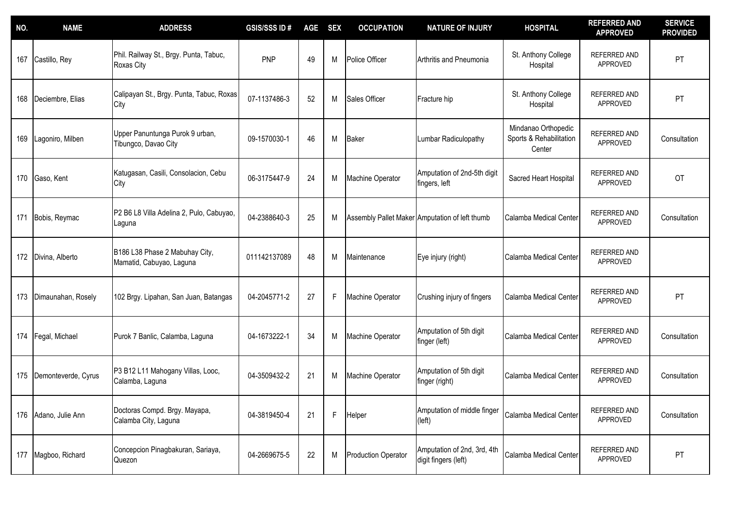| NO. | <b>NAME</b>         | <b>ADDRESS</b>                                             | <b>GSIS/SSS ID#</b> | <b>AGE</b> | <b>SEX</b>  | <b>OCCUPATION</b>          | <b>NATURE OF INJURY</b>                             | <b>HOSPITAL</b>                                          | <b>REFERRED AND</b><br><b>APPROVED</b> | <b>SERVICE</b><br><b>PROVIDED</b> |
|-----|---------------------|------------------------------------------------------------|---------------------|------------|-------------|----------------------------|-----------------------------------------------------|----------------------------------------------------------|----------------------------------------|-----------------------------------|
| 167 | Castillo, Rey       | Phil. Railway St., Brgy. Punta, Tabuc,<br>Roxas City       | <b>PNP</b>          | 49         | M           | Police Officer             | Arthritis and Pneumonia                             | St. Anthony College<br>Hospital                          | <b>REFERRED AND</b><br>APPROVED        | PT                                |
| 168 | Deciembre, Elias    | Calipayan St., Brgy. Punta, Tabuc, Roxas<br>City           | 07-1137486-3        | 52         | M           | Sales Officer              | Fracture hip                                        | St. Anthony College<br>Hospital                          | <b>REFERRED AND</b><br>APPROVED        | PT                                |
| 169 | Lagoniro, Milben    | Upper Panuntunga Purok 9 urban,<br>Tibungco, Davao City    | 09-1570030-1        | 46         | M           | <b>Baker</b>               | Lumbar Radiculopathy                                | Mindanao Orthopedic<br>Sports & Rehabilitation<br>Center | <b>REFERRED AND</b><br>APPROVED        | Consultation                      |
|     | 170 Gaso, Kent      | Katugasan, Casili, Consolacion, Cebu<br>City               | 06-3175447-9        | 24         | M           | Machine Operator           | Amputation of 2nd-5th digit<br>fingers, left        | Sacred Heart Hospital                                    | <b>REFERRED AND</b><br>APPROVED        | OT                                |
| 171 | Bobis, Reymac       | P2 B6 L8 Villa Adelina 2, Pulo, Cabuyao,<br>Laguna         | 04-2388640-3        | 25         | M           |                            | Assembly Pallet Maker Amputation of left thumb      | Calamba Medical Center                                   | <b>REFERRED AND</b><br>APPROVED        | Consultation                      |
| 172 | Divina, Alberto     | B186 L38 Phase 2 Mabuhay City,<br>Mamatid, Cabuyao, Laguna | 011142137089        | 48         | M           | Maintenance                | Eye injury (right)                                  | Calamba Medical Center                                   | <b>REFERRED AND</b><br>APPROVED        |                                   |
| 173 | Dimaunahan, Rosely  | 102 Brgy. Lipahan, San Juan, Batangas                      | 04-2045771-2        | 27         | F           | Machine Operator           | Crushing injury of fingers                          | Calamba Medical Center                                   | REFERRED AND<br>APPROVED               | PT                                |
| 174 | Fegal, Michael      | Purok 7 Banlic, Calamba, Laguna                            | 04-1673222-1        | 34         | M           | Machine Operator           | Amputation of 5th digit<br>finger (left)            | Calamba Medical Center                                   | REFERRED AND<br>APPROVED               | Consultation                      |
| 175 | Demonteverde, Cyrus | P3 B12 L11 Mahogany Villas, Looc,<br>Calamba, Laguna       | 04-3509432-2        | 21         | M           | Machine Operator           | Amputation of 5th digit<br>finger (right)           | Calamba Medical Center                                   | REFERRED AND<br>APPROVED               | Consultation                      |
| 176 | Adano, Julie Ann    | Doctoras Compd. Brgy. Mayapa,<br>Calamba City, Laguna      | 04-3819450-4        | 21         | $\mathsf F$ | Helper                     | Amputation of middle finger<br>(left)               | Calamba Medical Center                                   | REFERRED AND<br>APPROVED               | Consultation                      |
| 177 | Magboo, Richard     | Concepcion Pinagbakuran, Sariaya,<br>Quezon                | 04-2669675-5        | 22         | M           | <b>Production Operator</b> | Amputation of 2nd, 3rd, 4th<br>digit fingers (left) | Calamba Medical Center                                   | REFERRED AND<br>APPROVED               | PT                                |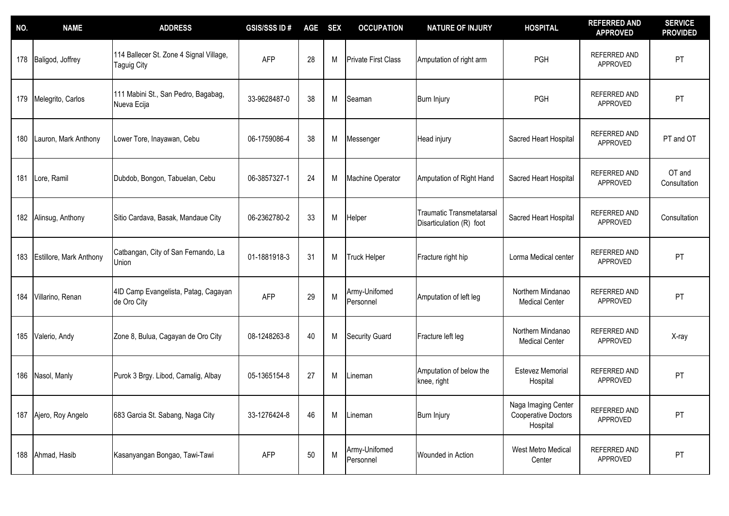| NO. | <b>NAME</b>                    | <b>ADDRESS</b>                                         | <b>GSIS/SSS ID#</b> | <b>AGE</b> | <b>SEX</b> | <b>OCCUPATION</b>          | <b>NATURE OF INJURY</b>                                      | <b>HOSPITAL</b>                                               | <b>REFERRED AND</b><br><b>APPROVED</b> | <b>SERVICE</b><br><b>PROVIDED</b> |
|-----|--------------------------------|--------------------------------------------------------|---------------------|------------|------------|----------------------------|--------------------------------------------------------------|---------------------------------------------------------------|----------------------------------------|-----------------------------------|
| 178 | Baligod, Joffrey               | 114 Ballecer St. Zone 4 Signal Village,<br>Taguig City | <b>AFP</b>          | 28         | M          | <b>Private First Class</b> | Amputation of right arm                                      | PGH                                                           | <b>REFERRED AND</b><br>APPROVED        | PT                                |
| 179 | Melegrito, Carlos              | 111 Mabini St., San Pedro, Bagabag,<br>Nueva Ecija     | 33-9628487-0        | 38         | M          | Seaman                     | Burn Injury                                                  | PGH                                                           | REFERRED AND<br>APPROVED               | PT                                |
| 180 | Lauron, Mark Anthony           | Lower Tore, Inayawan, Cebu                             | 06-1759086-4        | 38         | M          | Messenger                  | Head injury                                                  | Sacred Heart Hospital                                         | REFERRED AND<br>APPROVED               | PT and OT                         |
|     | 181 Lore, Ramil                | Dubdob, Bongon, Tabuelan, Cebu                         | 06-3857327-1        | 24         | M          | Machine Operator           | Amputation of Right Hand                                     | Sacred Heart Hospital                                         | REFERRED AND<br>APPROVED               | OT and<br>Consultation            |
| 182 | Alinsug, Anthony               | Sitio Cardava, Basak, Mandaue City                     | 06-2362780-2        | 33         | M          | Helper                     | <b>Traumatic Transmetatarsal</b><br>Disarticulation (R) foot | Sacred Heart Hospital                                         | REFERRED AND<br>APPROVED               | Consultation                      |
| 183 | <b>Estillore, Mark Anthony</b> | Catbangan, City of San Fernando, La<br>Union           | 01-1881918-3        | 31         | M          | <b>Truck Helper</b>        | Fracture right hip                                           | Lorma Medical center                                          | <b>REFERRED AND</b><br>APPROVED        | PT                                |
| 184 | Villarino, Renan               | 4ID Camp Evangelista, Patag, Cagayan<br>de Oro City    | <b>AFP</b>          | 29         | M          | Army-Unifomed<br>Personnel | Amputation of left leg                                       | Northern Mindanao<br><b>Medical Center</b>                    | REFERRED AND<br>APPROVED               | PT                                |
| 185 | Valerio, Andy                  | Zone 8, Bulua, Cagayan de Oro City                     | 08-1248263-8        | 40         | M          | <b>Security Guard</b>      | Fracture left leg                                            | Northern Mindanao<br><b>Medical Center</b>                    | REFERRED AND<br>APPROVED               | X-ray                             |
| 186 | Nasol, Manly                   | Purok 3 Brgy. Libod, Camalig, Albay                    | 05-1365154-8        | 27         | M          | Lineman                    | Amputation of below the<br>knee, right                       | Estevez Memorial<br>Hospital                                  | REFERRED AND<br>APPROVED               | PT                                |
| 187 | Ajero, Roy Angelo              | 683 Garcia St. Sabang, Naga City                       | 33-1276424-8        | 46         | M          | Lineman                    | Burn Injury                                                  | Naga Imaging Center<br><b>Cooperative Doctors</b><br>Hospital | REFERRED AND<br>APPROVED               | PT                                |
|     | 188 Ahmad, Hasib               | Kasanyangan Bongao, Tawi-Tawi                          | <b>AFP</b>          | $50\,$     | M          | Army-Unifomed<br>Personnel | Wounded in Action                                            | West Metro Medical<br>Center                                  | REFERRED AND<br>APPROVED               | <b>PT</b>                         |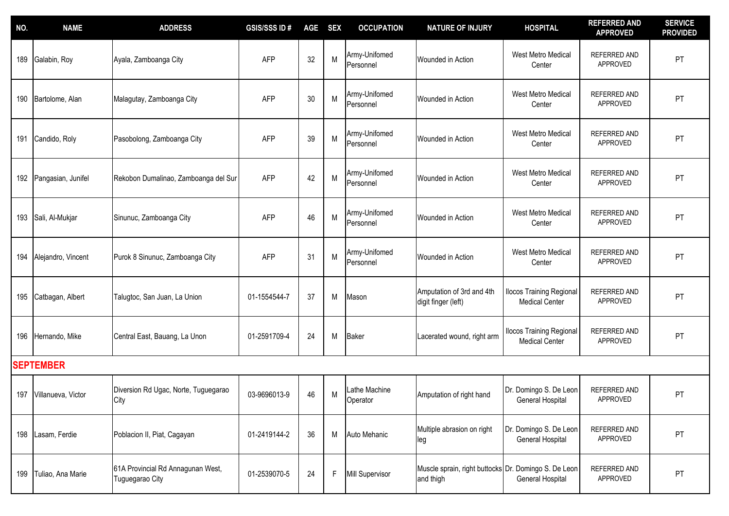| NO. | <b>NAME</b>        | <b>ADDRESS</b>                                       | <b>GSIS/SSS ID#</b> | <b>AGE</b> | <b>SEX</b> | <b>OCCUPATION</b>          | <b>NATURE OF INJURY</b>                                           | <b>HOSPITAL</b>                                          | <b>REFERRED AND</b><br><b>APPROVED</b> | <b>SERVICE</b><br><b>PROVIDED</b> |
|-----|--------------------|------------------------------------------------------|---------------------|------------|------------|----------------------------|-------------------------------------------------------------------|----------------------------------------------------------|----------------------------------------|-----------------------------------|
| 189 | Galabin, Roy       | Ayala, Zamboanga City                                | <b>AFP</b>          | 32         | M          | Army-Unifomed<br>Personnel | Wounded in Action                                                 | West Metro Medical<br>Center                             | <b>REFERRED AND</b><br>APPROVED        | PT                                |
| 190 | Bartolome, Alan    | Malagutay, Zamboanga City                            | <b>AFP</b>          | 30         | M          | Army-Unifomed<br>Personnel | Wounded in Action                                                 | West Metro Medical<br>Center                             | REFERRED AND<br>APPROVED               | PT                                |
| 191 | Candido, Roly      | Pasobolong, Zamboanga City                           | <b>AFP</b>          | 39         | M          | Army-Unifomed<br>Personnel | Wounded in Action                                                 | West Metro Medical<br>Center                             | <b>REFERRED AND</b><br>APPROVED        | PT                                |
| 192 | Pangasian, Junifel | Rekobon Dumalinao, Zamboanga del Sur                 | <b>AFP</b>          | 42         | M          | Army-Unifomed<br>Personnel | Wounded in Action                                                 | West Metro Medical<br>Center                             | REFERRED AND<br>APPROVED               | PT                                |
| 193 | Sali, Al-Mukjar    | Sinunuc, Zamboanga City                              | <b>AFP</b>          | 46         | M          | Army-Unifomed<br>Personnel | Wounded in Action                                                 | <b>West Metro Medical</b><br>Center                      | REFERRED AND<br>APPROVED               | PT                                |
| 194 | Alejandro, Vincent | Purok 8 Sinunuc, Zamboanga City                      | <b>AFP</b>          | 31         | M          | Army-Unifomed<br>Personnel | Wounded in Action                                                 | West Metro Medical<br>Center                             | <b>REFERRED AND</b><br>APPROVED        | PT                                |
| 195 | Catbagan, Albert   | Talugtoc, San Juan, La Union                         | 01-1554544-7        | 37         | M          | Mason                      | Amputation of 3rd and 4th<br>digit finger (left)                  | <b>Ilocos Training Regional</b><br><b>Medical Center</b> | REFERRED AND<br>APPROVED               | PT                                |
| 196 | Hernando, Mike     | Central East, Bauang, La Unon                        | 01-2591709-4        | 24         | M          | Baker                      | Lacerated wound, right arm                                        | <b>Ilocos Training Regional</b><br><b>Medical Center</b> | REFERRED AND<br>APPROVED               | PT                                |
|     | <b>SEPTEMBER</b>   |                                                      |                     |            |            |                            |                                                                   |                                                          |                                        |                                   |
| 197 | Villanueva, Victor | Diversion Rd Ugac, Norte, Tuguegarao<br>City         | 03-9696013-9        | 46         | M          | Lathe Machine<br>Operator  | Amputation of right hand                                          | Dr. Domingo S. De Leon<br>General Hospital               | REFERRED AND<br>APPROVED               | PT                                |
| 198 | Lasam, Ferdie      | Poblacion II, Piat, Cagayan                          | 01-2419144-2        | 36         | M          | Auto Mehanic               | Multiple abrasion on right<br>leg                                 | Dr. Domingo S. De Leon<br>General Hospital               | REFERRED AND<br>APPROVED               | <b>PT</b>                         |
| 199 | Tuliao, Ana Marie  | 61A Provincial Rd Annagunan West,<br>Tuguegarao City | 01-2539070-5        | 24         | F          | Mill Supervisor            | Muscle sprain, right buttocks Dr. Domingo S. De Leon<br>and thigh | General Hospital                                         | REFERRED AND<br>APPROVED               | PT                                |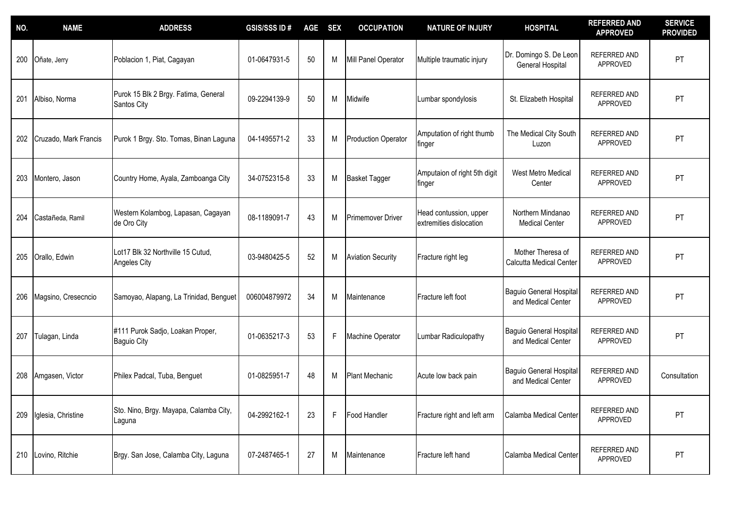| NO. | <b>NAME</b>           | <b>ADDRESS</b>                                      | <b>GSIS/SSS ID#</b> | <b>AGE</b> | <b>SEX</b> | <b>OCCUPATION</b>          | <b>NATURE OF INJURY</b>                           | <b>HOSPITAL</b>                                   | <b>REFERRED AND</b><br><b>APPROVED</b> | <b>SERVICE</b><br><b>PROVIDED</b> |
|-----|-----------------------|-----------------------------------------------------|---------------------|------------|------------|----------------------------|---------------------------------------------------|---------------------------------------------------|----------------------------------------|-----------------------------------|
| 200 | Oñate, Jerry          | Poblacion 1, Piat, Cagayan                          | 01-0647931-5        | 50         | M          | Mill Panel Operator        | Multiple traumatic injury                         | Dr. Domingo S. De Leon<br><b>General Hospital</b> | REFERRED AND<br>APPROVED               | PT                                |
| 201 | Albiso, Norma         | Purok 15 Blk 2 Brgy. Fatima, General<br>Santos City | 09-2294139-9        | 50         | M          | Midwife                    | Lumbar spondylosis                                | St. Elizabeth Hospital                            | <b>REFERRED AND</b><br>APPROVED        | PT                                |
| 202 | Cruzado, Mark Francis | Purok 1 Brgy. Sto. Tomas, Binan Laguna              | 04-1495571-2        | 33         | M          | <b>Production Operator</b> | Amputation of right thumb<br>finger               | The Medical City South<br>Luzon                   | REFERRED AND<br>APPROVED               | PT                                |
| 203 | Montero, Jason        | Country Home, Ayala, Zamboanga City                 | 34-0752315-8        | 33         | M          | <b>Basket Tagger</b>       | Amputaion of right 5th digit<br>finger            | <b>West Metro Medical</b><br>Center               | <b>REFERRED AND</b><br>APPROVED        | PT                                |
| 204 | Castañeda, Ramil      | Western Kolambog, Lapasan, Cagayan<br>de Oro City   | 08-1189091-7        | 43         | M          | <b>Primemover Driver</b>   | Head contussion, upper<br>extremities dislocation | Northern Mindanao<br><b>Medical Center</b>        | REFERRED AND<br>APPROVED               | PT                                |
| 205 | Orallo, Edwin         | Lot17 Blk 32 Northville 15 Cutud,<br>Angeles City   | 03-9480425-5        | 52         | M          | <b>Aviation Security</b>   | Fracture right leg                                | Mother Theresa of<br>Calcutta Medical Center      | REFERRED AND<br>APPROVED               | PT                                |
| 206 | Magsino, Cresecncio   | Samoyao, Alapang, La Trinidad, Benguet              | 006004879972        | 34         | M          | Maintenance                | Fracture left foot                                | Baguio General Hospital<br>and Medical Center     | REFERRED AND<br>APPROVED               | PT                                |
| 207 | Tulagan, Linda        | #111 Purok Sadjo, Loakan Proper,<br>Baguio City     | 01-0635217-3        | 53         | F          | Machine Operator           | Lumbar Radiculopathy                              | Baguio General Hospital<br>and Medical Center     | REFERRED AND<br>APPROVED               | PT                                |
| 208 | Amgasen, Victor       | Philex Padcal, Tuba, Benguet                        | 01-0825951-7        | 48         | M          | <b>Plant Mechanic</b>      | Acute low back pain                               | Baguio General Hospital<br>and Medical Center     | REFERRED AND<br>APPROVED               | Consultation                      |
| 209 | Iglesia, Christine    | Sto. Nino, Brgy. Mayapa, Calamba City,<br>Laguna    | 04-2992162-1        | 23         | F          | Food Handler               | Fracture right and left arm                       | Calamba Medical Center                            | REFERRED AND<br>APPROVED               | PT                                |
| 210 | Lovino, Ritchie       | Brgy. San Jose, Calamba City, Laguna                | 07-2487465-1        | 27         | M          | Maintenance                | Fracture left hand                                | Calamba Medical Center                            | REFERRED AND<br>APPROVED               | PT                                |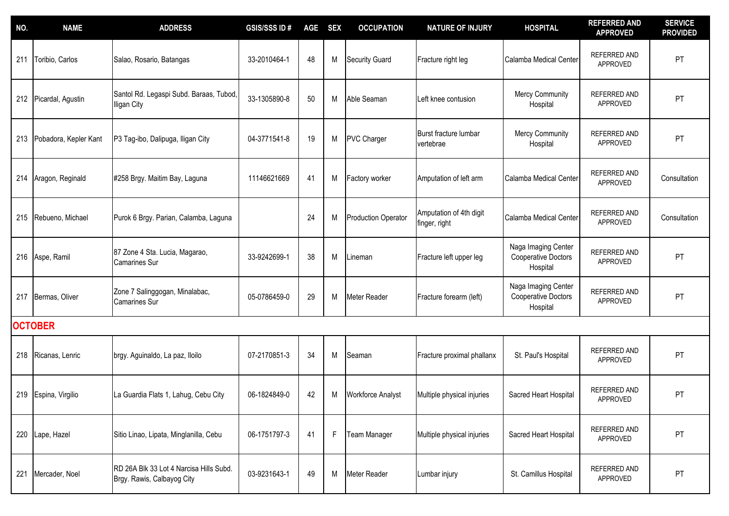| NO. | <b>NAME</b>           | <b>ADDRESS</b>                                                        | <b>GSIS/SSS ID#</b> | <b>AGE</b> | <b>SEX</b>  | <b>OCCUPATION</b>          | <b>NATURE OF INJURY</b>                  | <b>HOSPITAL</b>                                               | <b>REFERRED AND</b><br><b>APPROVED</b> | <b>SERVICE</b><br><b>PROVIDED</b> |
|-----|-----------------------|-----------------------------------------------------------------------|---------------------|------------|-------------|----------------------------|------------------------------------------|---------------------------------------------------------------|----------------------------------------|-----------------------------------|
| 211 | Toribio, Carlos       | Salao, Rosario, Batangas                                              | 33-2010464-1        | 48         | M           | <b>Security Guard</b>      | Fracture right leg                       | Calamba Medical Center                                        | REFERRED AND<br>APPROVED               | PT                                |
|     | 212 Picardal, Agustin | Santol Rd. Legaspi Subd. Baraas, Tubod,<br>Iligan City                | 33-1305890-8        | 50         | M           | Able Seaman                | Left knee contusion                      | <b>Mercy Community</b><br>Hospital                            | REFERRED AND<br>APPROVED               | PT                                |
| 213 | Pobadora, Kepler Kant | P3 Tag-ibo, Dalipuga, Iligan City                                     | 04-3771541-8        | 19         | M           | <b>PVC Charger</b>         | Burst fracture lumbar<br>vertebrae       | <b>Mercy Community</b><br>Hospital                            | REFERRED AND<br>APPROVED               | PT                                |
| 214 | Aragon, Reginald      | #258 Brgy. Maitim Bay, Laguna                                         | 11146621669         | 41         | M           | Factory worker             | Amputation of left arm                   | Calamba Medical Center                                        | <b>REFERRED AND</b><br>APPROVED        | Consultation                      |
| 215 | Rebueno, Michael      | Purok 6 Brgy. Parian, Calamba, Laguna                                 |                     | 24         | M           | <b>Production Operator</b> | Amputation of 4th digit<br>finger, right | Calamba Medical Center                                        | REFERRED AND<br>APPROVED               | Consultation                      |
|     | 216 Aspe, Ramil       | 87 Zone 4 Sta. Lucia, Magarao,<br><b>Camarines Sur</b>                | 33-9242699-1        | 38         | M           | _ineman                    | Fracture left upper leg                  | Naga Imaging Center<br><b>Cooperative Doctors</b><br>Hospital | REFERRED AND<br>APPROVED               | PT                                |
| 217 | Bermas, Oliver        | Zone 7 Salinggogan, Minalabac,<br><b>Camarines Sur</b>                | 05-0786459-0        | 29         | M           | Meter Reader               | Fracture forearm (left)                  | Naga Imaging Center<br>Cooperative Doctors<br>Hospital        | REFERRED AND<br>APPROVED               | PT                                |
|     | <b>OCTOBER</b>        |                                                                       |                     |            |             |                            |                                          |                                                               |                                        |                                   |
| 218 | Ricanas, Lenric       | brgy. Aguinaldo, La paz, lloilo                                       | 07-2170851-3        | 34         | M           | Seaman                     | Fracture proximal phallanx               | St. Paul's Hospital                                           | REFERRED AND<br>APPROVED               | PT                                |
| 219 | Espina, Virgilio      | La Guardia Flats 1, Lahug, Cebu City                                  | 06-1824849-0        | 42         | M           | Workforce Analyst          | Multiple physical injuries               | Sacred Heart Hospital                                         | REFERRED AND<br>APPROVED               | PT                                |
|     | 220 Lape, Hazel       | Sitio Linao, Lipata, Minglanilla, Cebu                                | 06-1751797-3        | 41         | $\mathsf F$ | <b>Team Manager</b>        | Multiple physical injuries               | Sacred Heart Hospital                                         | REFERRED AND<br>APPROVED               | PT                                |
| 221 | Mercader, Noel        | RD 26A Blk 33 Lot 4 Narcisa Hills Subd.<br>Brgy. Rawis, Calbayog City | 03-9231643-1        | 49         | M           | Meter Reader               | Lumbar injury                            | St. Camillus Hospital                                         | REFERRED AND<br>APPROVED               | PT                                |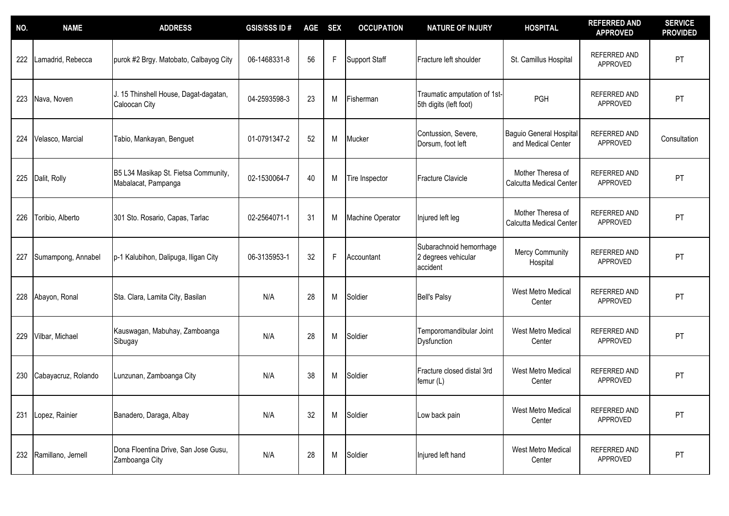| NO. | <b>NAME</b>         | <b>ADDRESS</b>                                              | <b>GSIS/SSS ID#</b> | <b>AGE</b> | <b>SEX</b> | <b>OCCUPATION</b>    | <b>NATURE OF INJURY</b>                                    | <b>HOSPITAL</b>                                      | <b>REFERRED AND</b><br><b>APPROVED</b> | <b>SERVICE</b><br><b>PROVIDED</b> |
|-----|---------------------|-------------------------------------------------------------|---------------------|------------|------------|----------------------|------------------------------------------------------------|------------------------------------------------------|----------------------------------------|-----------------------------------|
| 222 | Lamadrid, Rebecca   | purok #2 Brgy. Matobato, Calbayog City                      | 06-1468331-8        | 56         | F          | <b>Support Staff</b> | Fracture left shoulder                                     | St. Camillus Hospital                                | REFERRED AND<br>APPROVED               | PT                                |
| 223 | Nava, Noven         | J. 15 Thinshell House, Dagat-dagatan,<br>Caloocan City      | 04-2593598-3        | 23         | M          | Fisherman            | Traumatic amputation of 1st-<br>5th digits (left foot)     | PGH                                                  | <b>REFERRED AND</b><br>APPROVED        | PT                                |
| 224 | Velasco, Marcial    | Tabio, Mankayan, Benguet                                    | 01-0791347-2        | 52         | M          | Mucker               | Contussion, Severe,<br>Dorsum, foot left                   | <b>Baguio General Hospital</b><br>and Medical Center | REFERRED AND<br>APPROVED               | Consultation                      |
| 225 | Dalit, Rolly        | B5 L34 Masikap St. Fietsa Community,<br>Mabalacat, Pampanga | 02-1530064-7        | 40         | M          | Tire Inspector       | <b>Fracture Clavicle</b>                                   | Mother Theresa of<br>Calcutta Medical Center         | REFERRED AND<br>APPROVED               | PT                                |
| 226 | Toribio, Alberto    | 301 Sto. Rosario, Capas, Tarlac                             | 02-2564071-1        | 31         | M          | Machine Operator     | Injured left leg                                           | Mother Theresa of<br>Calcutta Medical Center         | REFERRED AND<br>APPROVED               | PT                                |
| 227 | Sumampong, Annabel  | p-1 Kalubihon, Dalipuga, Iligan City                        | 06-3135953-1        | 32         | F          | Accountant           | Subarachnoid hemorrhage<br>2 degrees vehicular<br>accident | <b>Mercy Community</b><br>Hospital                   | REFERRED AND<br>APPROVED               | PT                                |
| 228 | Abayon, Ronal       | Sta. Clara, Lamita City, Basilan                            | N/A                 | 28         | M          | Soldier              | <b>Bell's Palsy</b>                                        | West Metro Medical<br>Center                         | <b>REFERRED AND</b><br>APPROVED        | PT                                |
| 229 | Vilbar, Michael     | Kauswagan, Mabuhay, Zamboanga<br>Sibugay                    | N/A                 | 28         | M          | Soldier              | Temporomandibular Joint<br><b>Dysfunction</b>              | <b>West Metro Medical</b><br>Center                  | <b>REFERRED AND</b><br>APPROVED        | PT                                |
| 230 | Cabayacruz, Rolando | Lunzunan, Zamboanga City                                    | N/A                 | 38         | M          | Soldier              | Fracture closed distal 3rd<br>femur (L)                    | West Metro Medical<br>Center                         | REFERRED AND<br>APPROVED               | PT                                |
| 231 | Lopez, Rainier      | Banadero, Daraga, Albay                                     | N/A                 | 32         | M          | Soldier              | Low back pain                                              | West Metro Medical<br>Center                         | REFERRED AND<br>APPROVED               | PT                                |
| 232 | Ramillano, Jernell  | Dona Floentina Drive, San Jose Gusu,<br>Zamboanga City      | N/A                 | 28         | M          | Soldier              | Injured left hand                                          | West Metro Medical<br>Center                         | REFERRED AND<br>APPROVED               | PT                                |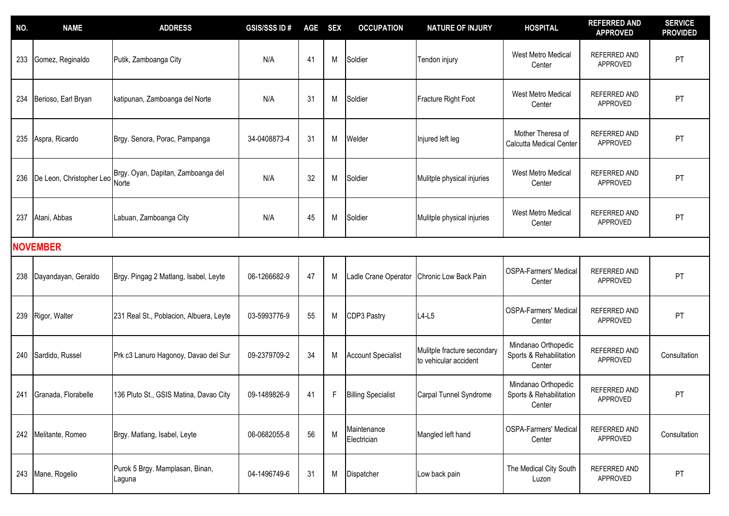| NO. | <b>NAME</b>              | <b>ADDRESS</b>                              | <b>GSIS/SSSID#</b> | <b>AGE</b> | <b>SEX</b> | <b>OCCUPATION</b>          | <b>NATURE OF INJURY</b>                              | <b>HOSPITAL</b>                                          | <b>REFERRED AND</b><br><b>APPROVED</b> | <b>SERVICE</b><br><b>PROVIDED</b> |
|-----|--------------------------|---------------------------------------------|--------------------|------------|------------|----------------------------|------------------------------------------------------|----------------------------------------------------------|----------------------------------------|-----------------------------------|
| 233 | Gomez, Reginaldo         | Putik, Zamboanga City                       | N/A                | 41         | M          | Soldier                    | Tendon injury                                        | West Metro Medical<br>Center                             | REFERRED AND<br>APPROVED               | PT                                |
| 234 | Berioso, Earl Bryan      | katipunan, Zamboanga del Norte              | N/A                | 31         | М          | Soldier                    | Fracture Right Foot                                  | West Metro Medical<br>Center                             | REFERRED AND<br>APPROVED               | PT                                |
| 235 | Aspra, Ricardo           | Brgy. Senora, Porac, Pampanga               | 34-0408873-4       | 31         | M          | Welder                     | Injured left leg                                     | Mother Theresa of<br>Calcutta Medical Center             | REFERRED AND<br>APPROVED               | PT                                |
| 236 | De Leon, Christopher Leo | Brgy. Oyan, Dapitan, Zamboanga del<br>Norte | N/A                | 32         | M          | Soldier                    | Mulitple physical injuries                           | West Metro Medical<br>Center                             | REFERRED AND<br>APPROVED               | PT                                |
| 237 | Atani, Abbas             | Labuan, Zamboanga City                      | N/A                | 45         | M          | Soldier                    | Mulitple physical injuries                           | West Metro Medical<br>Center                             | REFERRED AND<br>APPROVED               | PT                                |
|     | <b>NOVEMBER</b>          |                                             |                    |            |            |                            |                                                      |                                                          |                                        |                                   |
| 238 | Dayandayan, Geraldo      | Brgy. Pingag 2 Matlang, Isabel, Leyte       | 06-1266682-9       | 47         | M          | Ladle Crane Operator       | Chronic Low Back Pain                                | <b>OSPA-Farmers' Medical</b><br>Center                   | REFERRED AND<br>APPROVED               | PT                                |
| 239 | Rigor, Walter            | 231 Real St., Poblacion, Albuera, Leyte     | 03-5993776-9       | 55         | M          | CDP3 Pastry                | $L4-L5$                                              | <b>OSPA-Farmers' Medical</b><br>Center                   | REFERRED AND<br>APPROVED               | PT                                |
| 240 | Sardido, Russel          | Prk c3 Lanuro Hagonoy, Davao del Sur        | 09-2379709-2       | 34         | M          | <b>Account Specialist</b>  | Mulitple fracture secondary<br>to vehicular accident | Mindanao Orthopedic<br>Sports & Rehabilitation<br>Center | REFERRED AND<br>APPROVED               | Consultation                      |
| 241 | Granada, Florabelle      | 136 Pluto St., GSIS Matina, Davao City      | 09-1489826-9       | 41         | F          | <b>Billing Specialist</b>  | Carpal Tunnel Syndrome                               | Mindanao Orthopedic<br>Sports & Rehabilitation<br>Center | <b>REFERRED AND</b><br>APPROVED        | PT                                |
|     | 242 Melitante, Romeo     | Brgy. Matlang, Isabel, Leyte                | 06-0682055-8       | 56         | M          | Maintenance<br>Electrician | Mangled left hand                                    | <b>OSPA-Farmers' Medical</b><br>Center                   | REFERRED AND<br>APPROVED               | Consultation                      |
|     | 243 Mane, Rogelio        | Purok 5 Brgy. Mamplasan, Binan,<br>Laguna   | 04-1496749-6       | 31         | М          | Dispatcher                 | Low back pain                                        | The Medical City South<br>Luzon                          | REFERRED AND<br>APPROVED               | PT                                |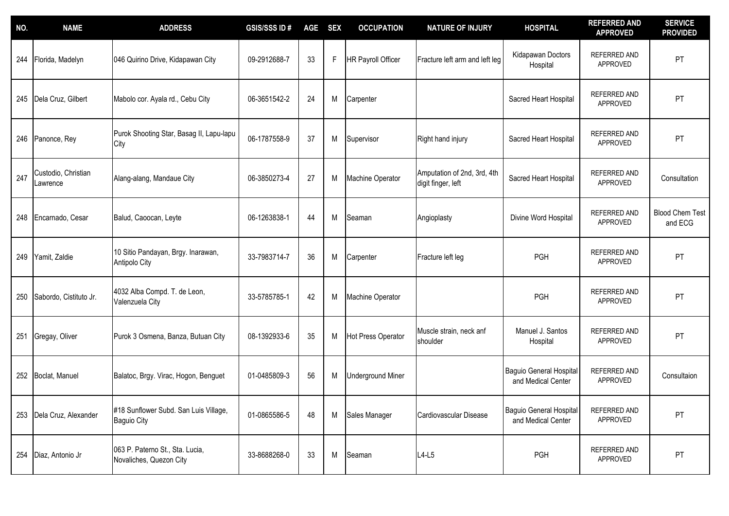| NO. | <b>NAME</b>                     | <b>ADDRESS</b>                                              | <b>GSIS/SSS ID#</b> | <b>AGE</b> | <b>SEX</b> | <b>OCCUPATION</b>         | <b>NATURE OF INJURY</b>                           | <b>HOSPITAL</b>                                      | <b>REFERRED AND</b><br><b>APPROVED</b> | <b>SERVICE</b><br><b>PROVIDED</b> |
|-----|---------------------------------|-------------------------------------------------------------|---------------------|------------|------------|---------------------------|---------------------------------------------------|------------------------------------------------------|----------------------------------------|-----------------------------------|
| 244 | Florida, Madelyn                | 046 Quirino Drive, Kidapawan City                           | 09-2912688-7        | 33         | F          | <b>HR Payroll Officer</b> | Fracture left arm and left leg                    | Kidapawan Doctors<br>Hospital                        | <b>REFERRED AND</b><br>APPROVED        | PT                                |
|     | 245 Dela Cruz, Gilbert          | Mabolo cor. Ayala rd., Cebu City                            | 06-3651542-2        | 24         | М          | Carpenter                 |                                                   | Sacred Heart Hospital                                | <b>REFERRED AND</b><br>APPROVED        | PT                                |
| 246 | Panonce, Rey                    | Purok Shooting Star, Basag II, Lapu-lapu<br>City            | 06-1787558-9        | 37         | Μ          | Supervisor                | Right hand injury                                 | Sacred Heart Hospital                                | REFERRED AND<br>APPROVED               | PT                                |
| 247 | Custodio, Christian<br>Lawrence | Alang-alang, Mandaue City                                   | 06-3850273-4        | 27         | M          | Machine Operator          | Amputation of 2nd, 3rd, 4th<br>digit finger, left | Sacred Heart Hospital                                | REFERRED AND<br>APPROVED               | Consultation                      |
| 248 | Encarnado, Cesar                | Balud, Caoocan, Leyte                                       | 06-1263838-1        | 44         | M          | Seaman                    | Angioplasty                                       | Divine Word Hospital                                 | REFERRED AND<br>APPROVED               | <b>Blood Chem Test</b><br>and ECG |
| 249 | Yamit, Zaldie                   | 10 Sitio Pandayan, Brgy. Inarawan,<br><b>Antipolo City</b>  | 33-7983714-7        | 36         | M          | Carpenter                 | Fracture left leg                                 | PGH                                                  | <b>REFERRED AND</b><br>APPROVED        | PT                                |
| 250 | Sabordo, Cistituto Jr.          | 4032 Alba Compd. T. de Leon,<br>Valenzuela City             | 33-5785785-1        | 42         | M          | Machine Operator          |                                                   | PGH                                                  | REFERRED AND<br>APPROVED               | PT                                |
| 251 | Gregay, Oliver                  | Purok 3 Osmena, Banza, Butuan City                          | 08-1392933-6        | 35         | M          | <b>Hot Press Operator</b> | Muscle strain, neck anf<br>shoulder               | Manuel J. Santos<br>Hospital                         | REFERRED AND<br><b>APPROVED</b>        | PT                                |
|     | 252 Boclat, Manuel              | Balatoc, Brgy. Virac, Hogon, Benguet                        | 01-0485809-3        | 56         | M          | <b>Underground Miner</b>  |                                                   | <b>Baguio General Hospital</b><br>and Medical Center | REFERRED AND<br>APPROVED               | Consultaion                       |
| 253 | Dela Cruz, Alexander            | #18 Sunflower Subd. San Luis Village,<br><b>Baguio City</b> | 01-0865586-5        | 48         | M          | Sales Manager             | Cardiovascular Disease                            | Baguio General Hospital<br>and Medical Center        | REFERRED AND<br>APPROVED               | PT                                |
| 254 | Diaz, Antonio Jr                | 063 P. Paterno St., Sta. Lucia,<br>Novaliches, Quezon City  | 33-8688268-0        | 33         | M          | Seaman                    | $L4-L5$                                           | PGH                                                  | REFERRED AND<br>APPROVED               | PT                                |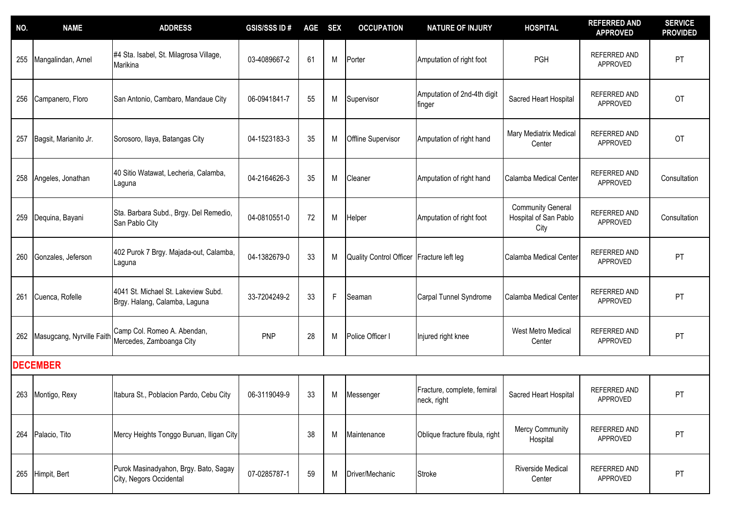| NO. | <b>NAME</b>               | <b>ADDRESS</b>                                                       | <b>GSIS/SSS ID#</b> | <b>AGE</b> | <b>SEX</b> | <b>OCCUPATION</b>       | <b>NATURE OF INJURY</b>                    | <b>HOSPITAL</b>                                           | <b>REFERRED AND</b><br><b>APPROVED</b> | <b>SERVICE</b><br><b>PROVIDED</b> |
|-----|---------------------------|----------------------------------------------------------------------|---------------------|------------|------------|-------------------------|--------------------------------------------|-----------------------------------------------------------|----------------------------------------|-----------------------------------|
| 255 | Mangalindan, Arnel        | #4 Sta. Isabel, St. Milagrosa Village,<br>Marikina                   | 03-4089667-2        | 61         | M          | Porter                  | Amputation of right foot                   | PGH                                                       | REFERRED AND<br>APPROVED               | PT                                |
| 256 | Campanero, Floro          | San Antonio, Cambaro, Mandaue City                                   | 06-0941841-7        | 55         | M          | Supervisor              | Amputation of 2nd-4th digit<br>finger      | Sacred Heart Hospital                                     | REFERRED AND<br>APPROVED               | <b>OT</b>                         |
| 257 | Bagsit, Marianito Jr.     | Sorosoro, Ilaya, Batangas City                                       | 04-1523183-3        | 35         | M          | Offline Supervisor      | Amputation of right hand                   | Mary Mediatrix Medical<br>Center                          | REFERRED AND<br>APPROVED               | OT                                |
| 258 | Angeles, Jonathan         | 40 Sitio Watawat, Lecheria, Calamba,<br>Laguna                       | 04-2164626-3        | 35         | M          | Cleaner                 | Amputation of right hand                   | Calamba Medical Center                                    | REFERRED AND<br>APPROVED               | Consultation                      |
| 259 | Dequina, Bayani           | Sta. Barbara Subd., Brgy. Del Remedio,<br>San Pablo City             | 04-0810551-0        | 72         | M          | Helper                  | Amputation of right foot                   | <b>Community General</b><br>Hospital of San Pablo<br>City | REFERRED AND<br>APPROVED               | Consultation                      |
| 260 | Gonzales, Jeferson        | 402 Purok 7 Brgy. Majada-out, Calamba,<br>Laguna                     | 04-1382679-0        | 33         | M          | Quality Control Officer | Fracture left leg                          | Calamba Medical Center                                    | <b>REFERRED AND</b><br>APPROVED        | PT                                |
| 261 | Cuenca, Rofelle           | 4041 St. Michael St. Lakeview Subd.<br>Brgy. Halang, Calamba, Laguna | 33-7204249-2        | 33         | F          | Seaman                  | Carpal Tunnel Syndrome                     | Calamba Medical Center                                    | REFERRED AND<br>APPROVED               | PT                                |
| 262 | Masugcang, Nyrville Faith | Camp Col. Romeo A. Abendan,<br>Mercedes, Zamboanga City              | <b>PNP</b>          | 28         | M          | Police Officer I        | Injured right knee                         | West Metro Medical<br>Center                              | REFERRED AND<br>APPROVED               | PT                                |
|     | <b>DECEMBER</b>           |                                                                      |                     |            |            |                         |                                            |                                                           |                                        |                                   |
| 263 | Montigo, Rexy             | Itabura St., Poblacion Pardo, Cebu City                              | 06-3119049-9        | 33         | M          | Messenger               | Fracture, complete, femiral<br>neck, right | Sacred Heart Hospital                                     | REFERRED AND<br>APPROVED               | PT                                |
|     | 264 Palacio, Tito         | Mercy Heights Tonggo Buruan, Iligan City                             |                     | 38         | М          | Maintenance             | Oblique fracture fibula, right             | Mercy Community<br>Hospital                               | REFERRED AND<br>APPROVED               | PT                                |
| 265 | Himpit, Bert              | Purok Masinadyahon, Brgy. Bato, Sagay<br>City, Negors Occidental     | 07-0285787-1        | 59         | M          | Driver/Mechanic         | <b>Stroke</b>                              | Riverside Medical<br>Center                               | REFERRED AND<br>APPROVED               | PT                                |